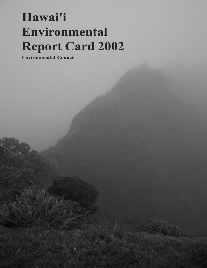## **Hawai'i Environmental Report Card 2002**

**Environmental Council**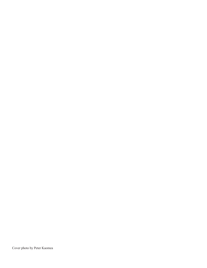Cover photo by Peter Kaomea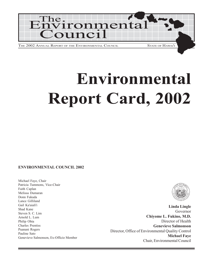

# **Environmental Report Card, 2002**

#### **ENVIRONMENTAL COUNCIL 2002**

Michael Faye, Chair Patricia Tummons, Vice-Chair Faith Caplan Melissa Dumaran Donn Fukuda Lance Gilliland Gail Ka'aiali'i Shad Kane Steven S. C. Lim Arnold L. Lum Philip Ohta Charles Prentiss Puanani Rogers Pauline Sato Genevieve Salmonson, Ex-Officio Member



**Linda Lingle** Governor **Chiyome L. Fukino, M.D.** Director of Health **Genevieve Salmonson** Director, Office of Environmental Quality Control **Michael Faye** Chair, Environmental Council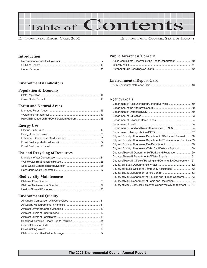Table of Contents

ENVIRONMENTAL REPORT CARD, 2002 ENVIRONMENTAL COUNCIL, STATE OF HAWAI<sup>'</sup>I

#### **Introduction**

#### **Environmental Indicators**

#### **Population & Economy**

#### **Forest and Natural Areas**

#### **Energy Use**

#### **Use and Recycling of Resources**

#### **Biodiversity Maintenance**

#### **Environmental Quality**

#### **Public Awareness/Concern**

#### **Environmental Report Card**

|--|

#### **Agency Goals**

| Department of Land and Natural Resources (DLNR)  54                   |
|-----------------------------------------------------------------------|
|                                                                       |
| City and County of Honolulu, Department of Parks and Recreation  58   |
| City and County of Honolulu, Department of Transportation Services 59 |
|                                                                       |
| City and County of Honolulu, O'ahu Civil Defense Agency  60           |
| County of Hawai'i, Department of Parks and Recreation  60             |
|                                                                       |
| County of Hawai'i, Office of Housing and Community Development  61    |
|                                                                       |
| County of Kaua'i, Offices of Community Assistance  62                 |
|                                                                       |
| County of Maui, Department of Housing and Human Concerns  63          |
| County of Maui, Department of Parks and Recreation  64                |
| County of Maui, Dept. of Public Works and Waste Management  64        |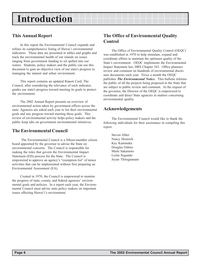## **Introduction**

### **This Annual Report**

In this report the Environmental Council expands and refines its comprehensive listing of Hawai`i environmental indicators. These data are presented in tables and graphs and track the environmental health of our islands on issues ranging from government funding to oil spilled into our waters. Students, policy makers and the public can use this document to gain an objective view of our state's progress in managing the natural and urban environment.

This report contains an updated Report Card. The Council, after considering the relevance of each indicator, grades our state's progress toward meeting its goals to protect the environment.

The 2002 Annual Report presents an overview of environmental action taken by government offices across the state. Agencies are asked each year to list their environmental goals and any progress toward meeting these goals. This review of environmental activity helps policy makers and the public keep tabs on government environmental initiatives.

### **The Environmental Council**

 The Environmental Council is a fifteen-member citizen board appointed by the governor to advise the State on environmental concerns. The Council is responsible for making the rules that govern the Environmental Impact Statement (EIS) process for the State. The Council is empowered to approve an agency's "exemption list" of minor activities that can be implemented without first preparing an Environmental Assessment (EA).

Created in 1970, the Council is empowered to monitor the progress of state, county, and federal agencies' environmental goals and policies. In a report each year, the Environmental Council must advise state policy makers on important issues affecting Hawai'i's environment.

### **The Office of Environmental Quality Control**

The Office of Environmental Quality Control (OEQC) was established in 1970 to help stimulate, expand and coordinate efforts to maintain the optimum quality of the State's environment. OEQC implements the Environmental Impact Statement law, HRS Chapter 343. Office planners review and comment on hundreds of environmental disclosure documents each year. Twice a month the OEQC publishes *The Environmental Notice*. This bulletin informs the public of all the projects being proposed in the State that are subject to public review and comment. At the request of the governor, the Director of the OEQC is empowered to coordinate and direct State agencies in matters concerning environmental quality.

### **Acknowledgements**

The Environmental Council would like to thank the following individuals for their asssistance in compiling this report.

Steven Alber Nancy Heinrich Kay Kaminaka Douglas Oshiro Maile Sakamoto Leslie Segundo Jeyan Thirugnanam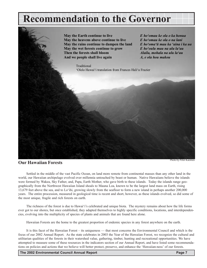## <span id="page-6-0"></span>**Recommendation to the Governor**



### **Our Hawaiian Forests**

Settled in the middle of the vast Pacific Ocean, on land more remote from continental masses than any other land in the world, our Hawaiian archipelago evolved over millennia untouched by beast or human. Native Hawaiians believe the islands were formed by Wakea, Sky Father, and, Papa, Earth Mother, who gave birth to these islands. Today the islands range geographically from the Northwest Hawaiian Island shoals to Mauna Loa, known to be the largest land mass on Earth, rising 13,679 feet above the sea, and to Loëihi, growing slowly from the seafloor to form a new island in perhaps another 200,000 years. The entire procession, measured in geological time is recent and short, however, as these islands evolved, so did some of the most unique, fragile and rich forests on earth.

The richness of the forest is due to Hawai'i's celebrated and unique biota. The mystery remains about how the life forms ever got to our shores, but once established, they adapted themselves to highly specific conditions, locations, and interdependencies, evolving into the multiplicity of species of plants and animals that are found here alone.

Hawaiian Forests are the home to the greatest proportion of endemic species in any forest anywhere on the earth.

It is this facet of the Hawaiian Forest – its uniqueness — that most concerns the Environmental Council and which is the focus of our 2002 Annual Report. As the state celebrates in 2003 the Year of the Hawaiian Forest, we recognize the cultural and utilitarian qualities of the forests in their watershed value, gathering, timber, hunting and recreational opportunities. We have attempted to measure some of these resources in the indicators section of our Annual Report, and have listed some recommendations on policies and actions that we believe will better protect, preserve, and enhance the 'Hawaiian-ness' of our forests.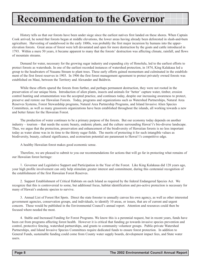## **Recommendation to the Governor**

History tells us that our forests have been under siege since the earliest natives first landed on these shores. When Captain Cook arrived, he noted that forests began at middle elevations, the lower areas having already been deforested in slash-and-burn agriculture. Harvesting of sandalwood in the early 1800s, was probably the first major incursion by humans into the upperelevation forests. Great areas of forest were left devastated and open for more destruction by the goats and cattle introduced in 1793. Within a mere 50 years, it became apparent to many that the forests' destruction was affecting climate, rainfall, and flows of mountain streams.

Demand for water, necessary for the growing sugar industry and expanding city of Honolulu, led to the earliest efforts to protect forests as watersheds. In one of the earliest recorded instances of watershed protection, in 1874, King Kalakaua led a group to the headwaters of Nuuanu Stream to plant trees. These early efforts gained momentum and culminated in the establishment of the first forest reserves in 1903. In 1906 the first forest management agreement to protect privately owned forests was established on Maui, between the Territory and Alexander and Baldwin.

While these efforts spared the forests from further, and perhaps permanent destruction, they were not rooted in the preservation of our unique biota. Introduction of alien plants, insects and animals for 'better' capture water, timber, erosion control hunting and ornamentation was the accepted practice, and continues today, despite our increasing awareness to protect, preserve and restore our Hawaiian Forests. Today, programs and organizations such as Watershed Partnerships, Natural Area Reserves Systems, Forest Stewardship programs, Natural Area Partnership Programs, and Island Invasive Alien Species Committees, as well as many grassroots organizations have been established throughout the islands, all working towards a new and better future for the Hawaiian Forest.

The production of water continues to be a primary purpose of the forests. But our economy today depends on another industry – tourism – that needs the scenic beauty, endemic plants, and the culture surrounding Hawai'i's bio-diverse landscape. Thus, we argue that the protection, preservation and enhancement of the biodiversity of Hawaiian forests is no less important today as water alone was in its time to the thirsty sugar fields. The merits of protecting it for such intangible values as biodiversity, beauty, cultural significance, and ecotourism potential are paramount to Hawaiʻi's competitive edge.

A healthy Hawaiian forest makes good economic sense.

Therefore, we are pleased to submit to you our recommendations for actions that will go far in protecting what remains of our Hawaiian forest heritage:

1. Governor and Legislative Support and Participation in the Year of the Forest. Like King Kalakaua did 128 years ago, your high profile involvement can only help stimulate greater interest and commitment, during this centennial recognition of the establishment of the first Hawaiian Forest Reserves.

2. Support Establishment of Critical Habitats on each Island as required by the federal Endangered Species Act. We recognize that this is controversial to some, but additional focus, habitat identification and pro-active protection is necessary for many of Hawaii's endemic species to survive.

3. Annual List of Forest Hot Spots. Direct the state forester to annually canvas his own agency, as well as other interested government agencies, conservation groups, and individuals, to identify 10 areas, or issues, that are of current and urgent concern. These would be published in the Environmental Councilís annual report. Attention and resources could then be focused where needed the most.

4. Stable and Increased Funding for Forest Programs. We know this is a perennial request, but in recent years, funds have been cut from programs affecting forest health. However it is critical that funding go towards invasive species prevention and control, protective fencing, watershed partnerships, and grants to community volunteer groups. Public-private Watershed Partnerships, and Island Invasive Species Committees require dedicated funds to ensure forest protection. In addition to General Funds, sustainable funding could come from County water supply boards, development impact fees, and State water users.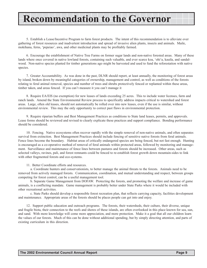## **Recommendation to the Governor**

5. Establish a Lease/Incentive Program to farm forest products. The intent of this recommendation is to alleviate over gathering of forest resources and inadvertent introduction and spread of invasive alien plants, insects and animals. Maile, mokihana, ferns, 'pepeiao', awa, and other medicinal plants may be profitably farmed.

6. Encourage the establishment of Native Tree Farms on former sugar lands and non-native forested areas. Many of these lands where once covered in native lowland forests, containing such valuable, and ever scarce koa, 'ohi'a, kauila, and sandalwood. Non-native species planted for timber generations ago might be harvested and used to fund the reforestation with native species.

7. Greater Accountability. As was done in the past, DLNR should report, at least annually, the monitoring of forest areas by island, broken down by meaningful categories of ownership, management and control, as well as conditions of the forests relating to feral animal removal, species and number of trees and shrubs protectively fenced or replanted within these areas, timber taken, and areas fenced. If you can't measure it you can't manage it

8. Require EA/EIS (no exemption) for new leases of lands exceeding 25 acres. This to include water licenses, farm and ranch lands. Amend the State Environmental Review process to specifically address impacts critical to watershed and forest areas. Large, often old leases, should not automatically be rolled over into new leases, even if the use is similar, without environmental review. This may the only opportunity to correct past flaws in environmental protection.

9. Require riparian buffers and Best Management Practices as conditions to State land leases, permits, and approvals. Lease forms should be reviewed and revised to clearly explicate these practices and support compliance. Bonding performance should be considered.

10. Fencing. Native ecosystems often recover rapidly with the simple removal of non-native animals, and often separates survival from extinction. Best Management Practices should include fencing of sensitive native forests from feral animals. Fence lines become the boundary. Habitat areas of critically endangered species are being fenced, but not fast enough. Hunting is encouraged as a co-operative method of removal of feral animals within protected areas, followed by monitoring and management. Surveillance and maintenance of fence lines between pastures and forests should be increased. Other areas, such as selected valleys, ravines, pali, and forest remnants could be fenced to re-establish forest growth down mountain-sides to link with other fragmented forests and eco-systems.

11. Better Coordinate efforts and resources.

a. Coordinate hunters and conservationists, to better manage the animal threats to the forests. Animals need to be removed from actively managed forests. Communication, coordination, and mutual understanding and respect, between groups competing for forest control, can be a useful management tool.

b. Separate Game Management from DOFAW. Protecting the forests, and promoting the welfare and increase of game animals, is a conflicting mandate. Game management is probably better under State Parks where it would be included with other recreational activities.

c. State Parks should develop a responsible forest recreation plan, that reflects carrying capacity, facilities development and maintenance. Appropriate areas of the forests should be places people can get into and enjoy.

12. Support public education and outreach programs. The forests, their watersheds, their culture, their diverse, unique and fragile biota, their connection to the reefs and shores of these islands, are often overlooked in this place known for sea, sun, and sand. With more knowledge will come more appreciation, and more protection. Make it a goal that all our children learn the values of our forests. Much of this can be done without additional spending, but by simply directing attention, and parts of existing curriculum in this direction.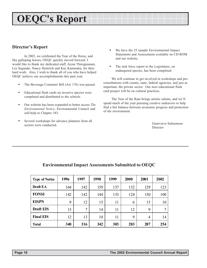## <span id="page-9-0"></span>**OEQC's Report**

### **Director's Report**

In 2002, we celebrated the Year of the Horse, and like galloping horses, OEQC quickly moved forward. I would like to thank my dedicated staff, Jeyan Thirugnanam, Les Segundo, Nancy Heinrich and Kay Kaminaka, for their hard work. Also, I wish to thank all of you who have helped OEQC achieve our accomplishments this past year.

- ! The Beverage Container Bill (Act 176) was passed.
- ! Educational flash cards on invasive species were completed and distributed to the schools.
- ! Our website has been expanded to better access *The Environmental Notice*, Environmental Council and self-help to Chapter 343.
- Several workshops for advance planners from all sectors were conducted.
- ! We have the 25 sample Environmental Impact Statements and Assessments available on CD-ROM and our website.
- ! The task force report to the Legislature, on endangered species, has been completed.

We will continue to get involved in workshops and preconsultations with county, state, federal agencies, and just as important, the private sector. Our next educational flash card project will be on cultural practices.

The Year of the Ram brings artistic talents, and we'll spend much of the year pursuing creative endeavors to help find a fair balance between economic progress and protection of the environment.

> Genevieve Salmonson **Director**

| <b>Type of Notice</b> | 1996 | 1997           | 1998 | 1999 | 2000 | 2001 | 2002 |
|-----------------------|------|----------------|------|------|------|------|------|
| Draft EA              | 164  | 142            | 159  | 137  | 132  | 129  | 123  |
| <b>FONSI</b>          | 142  | 142            | 144  | 133  | 124  | 130  | 100  |
| <b>EISPN</b>          | 9    | 12             | 15   | 11   | 6    | 15   | 10   |
| <b>Draft EIS</b>      | 13   | $\overline{7}$ | 14   | 11   | 12   | 9    | 7    |
| <b>Final EIS</b>      | 12   | 13             | 10   | 11   | 9    | 4    | 14   |
| <b>Total</b>          | 340  | 316            | 342  | 303  | 283  | 287  | 254  |

### **Environmental Impact Assessments Submitted to OEQC**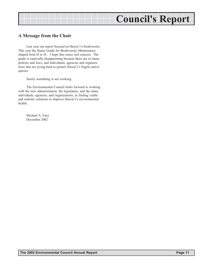## **Council's Report**

### <span id="page-10-0"></span>**A Message from the Chair**

Last year our report focused on Hawai'i's biodiversity. This year the Status Grade for Biodiversity Maintenance slipped from D to D-. I hope this raises real concern. The grade is especially disappointing because there are so many policies and laws, and individuals, agencies and organizations that are trying hard to protect Hawai'i's fragile native species.

Surely something is not working.

The Environmental Council looks forward to working with the new administration, the legislature, and the many individuals, agencies, and organizations, in finding viable and realistic solutions to improve Hawai'i's environmental health.

Michael A. Faye December 2002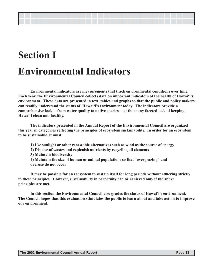## **Section I Environmental Indicators**

**Environmental indicators are measurements that track environmental conditions over time. Each year, the Environmental Council collects data on important indicators of the health of Hawaiëiís environment. These data are presented in text, tables and graphs so that the public and policy makers** can readily understand the status of Hawai'i's environment today. The indicators provide a **comprehensive look -- from water quality to native species -- at the many faceted task of keeping Hawaiëi clean and healthy.**

**The indicators presented in the Annual Report of the Environmental Council are organized this year in categories reflecting the principles of ecosystem sustainability. In order for an ecosystem to be sustainable, it must:**

- **1) Use sunlight or other renewable alternatives such as wind as the source of energy**
- **2) Dispose of wastes and replenish nutrients by recycling all elements**
- **3) Maintain biodiversity**
- 4) Maintain the size of human or animal populations so that "overgrazing" and **overuse do not occur**

**It may be possible for an ecosystem to sustain itself for long periods without adhering strictly to these principles. However, sustainability in perpetuity can be achieved only if the above principles are met.**

In this section the Environmental Council also grades the status of Hawai<sup>'</sup>i's environment. **The Council hopes that this evaluation stimulates the public to learn about and take action to improve our environment.**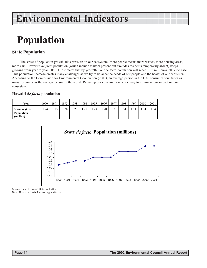## <span id="page-12-0"></span>**Population**

### **State Population**

The stress of population growth adds pressure on our ecosystem. More people means more wastes, more housing areas, more cars. Hawai'i's *de facto* population (which include visitors present but excludes residents temporarily absent) keeps growing from year to year. DBEDT estimates that by year 2020 our de facto population will reach 1.72 million--a 30% increase. This population increase creates many challenges as we try to balance the needs of our people and the health of our ecosystem. According to the Commission for Environmental Cooperation (2001), an average person in the U.S. consumes four times as many resources as the average person in the world. Reducing our consumption is one way to minimize our impact on our ecosystem.

#### **Hawaiëi** *de facto* **population**

| Year                                             | 1990 | 1991 | 1992 | 1993 | 1994 | 1995 | '996 | 1997      | 1998 | 1999 | 2000 | 2001 |
|--------------------------------------------------|------|------|------|------|------|------|------|-----------|------|------|------|------|
| State <i>de facto</i><br>Population<br>(million) | .24  | 1.25 | .26  | 1.26 | 1.28 | 1.28 | .28  | $1.3^{1}$ | 1.31 |      | .34  | 1.34 |



Source: State of Hawai'i Data Book 2002.

Note: The vertical axis does not begin with zero.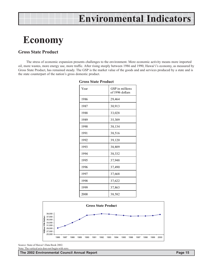## <span id="page-13-0"></span>**Economy**

### **Gross State Product**

The stress of economic expansion presents challenges to the environment. More economic activity means more imported oil, more wastes, more energy use, more traffic. After rising steeply between 1986 and 1990, Hawaiëiís economy, as measured by Gross State Product, has remained steady. The GSP is the market value of the goods and and services produced by a state and is the state counterpart of the nation's gross domestic product.

| Year | GSP in millions<br>of 1996 dollars |
|------|------------------------------------|
| 1986 | 29,464                             |
| 1987 | 30,913                             |
| 1988 | 33,028                             |
| 1989 | 35,309                             |
| 1990 | 38,134                             |
| 1991 | 38,516                             |
| 1992 | 39,120                             |
| 1993 | 38,809                             |
| 1994 | 38,332                             |
| 1995 | 37,948                             |
| 1996 | 37,490                             |
| 1997 | 37,668                             |
| 1998 | 37,622                             |
| 1999 | 37,863                             |
| 2000 | 38,582                             |

#### **Gross State Product**



Source: State of Hawai'i Data Book 2002. Note: The vertical axis does not begin with zero.

**The 2002 Environmental Council Annual Report Page 15**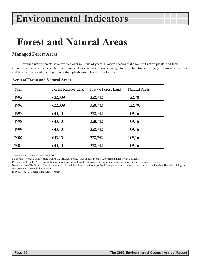## <span id="page-14-0"></span>**Forest and Natural Areas**

### **Managed Forest Areas**

Hawaiian native forests have evolved over millions of years. Invasive species that choke out native plants, and feral animals that cause erosion on the fragile forest floor can cause serious damage to the native forest. Keeping out invasive species and feral animals and planting more native plants promotes healthy forests.

| Year | <b>Forest Reserve Land</b> | Private Forest Land | Natural Areas |
|------|----------------------------|---------------------|---------------|
| 1995 | 622,339                    | 328,742             | 122,703       |
| 1996 | 622,339                    | 328,742             | 122,703       |
| 1997 | 643,134                    | 328,742             | 109,164       |
| 1998 | 643,134                    | 328,742             | 109,164       |
| 1999 | 643,134                    | 328,742             | 109,164       |
| 2000 | 643,134                    | 328,742             | 109,164       |
| 2001 | 643,134                    | 328,742             | 109,164       |

#### **Acres of Forest and Natural Areas**

Source: State of Hawai'i Data Book 2002.

Note: Forest Reserve Land = State-owned and privately-owned lands under surrender agreement in forest reserve system.

Private Forest Land = Private forest land within conservation district. The majority of these lands were previously in the forest reserve system.

Natural Areas = The State of Hawaiëi created the Natural Area Reserves System, or NARS, to preserve and protect representative samples of the Hawaiian biological ecosystems and geological formations.

In 1937, 1,027,299 acres were in forest reserves.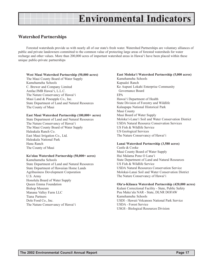### <span id="page-15-0"></span>**Watershed Partnerships**

Forested watersheds provide us with nearly all of our state's fresh water. Watershed Partnerships are voluntary alliances of public and private landowners committed to the common value of protecting large areas of forested watersheds for water recharge and other values. More than 200,000 acres of important watershed areas in Hawaiëi have been placed within these unique public-private partnerships

#### **West Maui Watershed Partnership (50,000 acres)**

The Maui County Board of Water Supply Kamehameha Schools C. Brewer and Company Limited Amfac/JMB Hawai'i, L.L.C. The Nature Conservancy of Hawai'i Maui Land & Pineapple Co., Inc. State Department of Land and Natural Resources The County of Maui

#### **East Maui Watershed Partnership (100,000+ acres)**

State Department of Land and Natural Resources The Nature Conservancy of Hawai'i The Maui County Board of Water Supply Haleakala Ranch Co. East Maui Irrigation Co., Ltd. Haleakala National Park Hana Ranch The County of Maui

#### **Ko'olau Watershed Partnership (50,000+ acres)**

Kamehameha Schools State Department of Land and Natural Resources State Department of Hawaiian Home Lands Agribusiness Development Corporation U.S. Army Honolulu Board of Water Supply Queen Emma Foundation Bishop Museum Manana Valley Farm LLC Tiana Partners Dole Food Co., Inc. The Nature Conservancy of Hawai'i

#### **East Molokaëi Watershed Partnership (5,000 acres)**

Kamehameha Schools Kapualei Ranch Ke Aupuni Lokahi Enterprise Community Governance Board EPA Hawai'i Department of Health State Division of Forestry and Wildlife Kalaupapa National Historical Park Maui County Maui Board of Water Supply Molokaëi-Lanaëi Soil and Water Conservation District USDA Natural Resource Conservation Services US Fish & Wildlife Service US Geological Services The Nature Conservancy of Hawai'i

#### **Lanai Watershed Partnership (3,580 acres)**

Castle & Cooke Maui County Board of Water Supply Hui Malama Pono O Lana'i State Department of Land and Natural Resources US Fish & Wildlife Service USDA Natural Resources Conservation Service Molokai-Lanai Soil and Water Conservation District The Nature Conservancy of Hawai'i

#### **Olaëa-Kilauea Watershed Partnership (420,000 acres)**

Kulani Correctional Facility - State, Public Safety Puu Makaëala NAR - State, DLNR DOFAW Kamehameha Schools USDI - Hawaii Volcanoes National Park Service USDA - Forest Service USGS - Biological Resources Division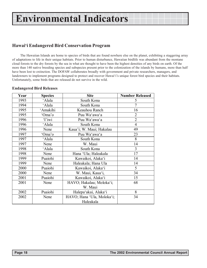### <span id="page-16-0"></span>**Hawaiëi Endangered Bird Conservation Program**

The Hawaiian Islands are home to species of birds that are found nowhere else on the planet, exhibiting a staggering array of adaptations to life in their unique habitats. Prior to human disturbance, Hawaiian birdlife was abundant from the montane cloud forests to the dry forests by the sea in what are thought to have been the highest densities of any birds on earth. Of the more than 140 native breeding species and subspecies present prior to the colonization of the islands by humans, more than half have been lost to extinction. The DOFAW collaborates broadly with government and private researchers, managers, and landowners to implement programs designed to protect and recover Hawai'i's unique forest bird species and their habitats. Unfortunately, some birds that are released do not survive in the wild.

#### **Endangered Bird Releases**

| Year | <b>Species</b> | <b>Site</b>                | <b>Number Released</b> |
|------|----------------|----------------------------|------------------------|
| 1993 | 'Alala         | South Kona                 | 5                      |
| 1994 | 'Alala         | South Kona                 | $\overline{7}$         |
| 1995 | 'Amakihi       | Keauhou Ranch              | 16                     |
| 1995 | 'Oma'o         | Puu Wa'awa'a               | $\overline{2}$         |
| 1996 | 'I'iwi         | Puu Wa'awa'a               | $\overline{2}$         |
| 1996 | 'Alala         | South Kona                 | $\overline{4}$         |
| 1996 | Nene           | Kaua'i; W. Maui; Hakalau   | 49                     |
| 1997 | 'Oma'o         | Puu Wa'awa'a               | 23                     |
| 1997 | 'Alala         | South Kona                 | 8                      |
| 1997 | Nene           | W. Maui                    | 14                     |
| 1998 | 'Alala         | South Kona                 | 3                      |
| 1998 | Nene           | Hana 'Ula; Haleakala       | 17                     |
| 1999 | Puaiohi        | Kawaikoi, Alaka'i          | 14                     |
| 1999 | Nene           | Haleakala; Hana Ula        | 14                     |
| 2000 | Puaiohi        | Kawaikoi, Alaka'i          | 5                      |
| 2000 | Nene           | W. Maui, Kaua'i,           | 34                     |
| 2001 | Puaiohi        | Kawaikoi, Alaka'i          | 15                     |
| 2001 | Nene           | HAVO; Hakalau; Moloka'i;   | 68                     |
|      |                | W. Maui                    |                        |
| 2002 | Puaiohi        | Halepa'akai, Alaka'i       | 8                      |
| 2002 | Nene           | HAVO; Hana 'Ula, Moloka'i; | 34                     |
|      |                | Haleakala                  |                        |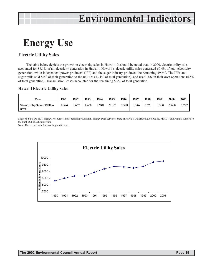## <span id="page-17-0"></span>**Energy Use**

### **Electric Utility Sales**

The table below depicts the growth in electricity sales in Hawaiëi. It should be noted that, in 2000, electric utility sales accounted for 88.1% of all electricity generation in Hawai'i. Hawai'i's electric utility sales generated 60.4% of total electricity generation, while independent power producers (IPP) and the sugar industry produced the remaining 39.6%. The IPPs and sugar mills sold 84% of their generation to the utilities (33.1% of total generation), and used 16% in their own operations (6.5% of total generation). Transmission losses accounted for the remaining 5.4% of total generation.

#### **Hawaiëi Electric Utility Sales**

| Year                                       | 1991  | 1992  | 1993  | 1994  | 1995  | 1996  | 1997  | 1998  | 1999  | 2000  | 2001  |
|--------------------------------------------|-------|-------|-------|-------|-------|-------|-------|-------|-------|-------|-------|
| <b>State Utility Sales (Million</b><br>kWh | 8.524 | 8.667 | 8.658 | 8.948 | 9.187 | 9,378 | 9,346 | 9.261 | 9.380 | 9.690 | 9,777 |

Sources: State DBEDT, Energy, Resources, and Technology Division, Energy Data Services; State of Hawaiëi Data Book 2000; Utility FERC-1 and Annual Reports to the Public Utilities Commission.

Note: The vertical axis does not begin with zero.

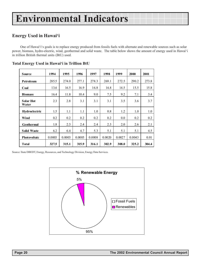### <span id="page-18-0"></span>**Energy Used in Hawaiëi**

One of Hawai'i's goals is to replace energy produced from fossils fuels with alternate and renewable sources such as solar power, biomass, hydro-electric, wind, geothermal and solid waste. The table below shows the amount of energy used in Hawaiëi in trillion British thermal units (BtU) used.

| <b>Source</b>             | 1994   | 1995   | 1996   | 1997   | 1998   | 1999   | 2000   | 2001  |
|---------------------------|--------|--------|--------|--------|--------|--------|--------|-------|
| Petroleum                 | 285.5  | 274.0  | 277.1  | 278.3  | 269.1  | 272.5  | 290.2  | 273.8 |
| Coal                      | 13.6   | 16.5   | 16.9   | 16.8   | 14.8   | 14.5   | 15.5   | 15.8  |
| <b>Biomass</b>            | 16.4   | 11.8   | 10.4   | 9.0    | 7.5    | 9.2    | 7.1    | 3.4   |
| <b>Solar Hot</b><br>Water | 2.3    | 2.8    | 3.1    | 3.1    | 3.1    | 3.5    | 3.6    | 3.7   |
| Hydroelectric             | 1.5    | 1.1    | 1.1    | 1.0    | 0.8    | 1.2    | 1.0    | 1.0   |
| Wind                      | 0.2    | 0.2    | 0.2    | 0.2    | 0.2    | 0.0    | 0.2    | 0.2   |
| Geothermal                | 1.8    | 2.3    | 2.4    | 2.4    | 2.3    | 2.0    | 2.6    | 2.1   |
| <b>Solid Waste</b>        | 6.2    | 6.4    | 4.7    | 5.3    | 5.1    | 5.1    | 5.1    | 4.5   |
| <b>Photovoltaic</b>       | 0.0003 | 0.0003 | 0.0005 | 0.0008 | 0.0020 | 0.0027 | 0.0043 | 0.01  |
| <b>Total</b>              | 327.5  | 315.1  | 315.9  | 316.1  | 302.9  | 308.0  | 325.2  | 304.4 |

#### **Total Energy Used in Hawaiëi in Trillion BtU**

Source: State DBEDT, Energy, Resources, and Technology Division, Energy Data Services.

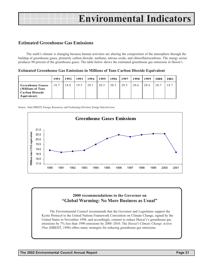### <span id="page-19-0"></span>**Estimated Greenhouse Gas Emissions**

The earth's climate is changing because human activities are altering the composition of the atmosphere through the buildup of greenhouse gases, primarily carbon dioxide, methane, nitrous oxide, and chlorofluorocarbons. The energy sector produces 90 percent of the greenhouse gases. The table below shows the estimated greenhouse gas emissions in Hawaiëi.

**Estimated Greenhouse Gas Emissions in Millions of Tons Carbon Dioxide Equivalent**

|                                                                                        | 1991 | 1992 | 1993 | 1994 | 1995 | 1996 | 1997 | 1998 | 1999 | 2000 | 2001 |
|----------------------------------------------------------------------------------------|------|------|------|------|------|------|------|------|------|------|------|
| <b>Greenhouse Gasses</b><br>(Millions of Tons)<br><b>Carbon Dioxode</b><br>Equivalent) | 18.7 | 18.8 | 19.5 | 20.1 | 20.5 | 20.3 | 20.5 | 20.6 | 20.6 | 20.7 | 18.7 |

Source: State DBEDT, Energy, Resources, and Technology Division, Energy Data Services.



### **2000 recommendations to the Governor on ìGlobal Warming: No More Business as Usualî**

The Environmental Council recommends that the Governor and Legislature support the Kyoto Protocol to the United Nations Framework Convention on Climate Change, signed by the United States in November 1998, and accordingly, commit to reduce Hawai'i's greenhouse gas emissions by 7% less than 1990 emissions by 2008–2010. The *Hawai'i Climate Change Action Plan* (DBEDT, 1998) offers many strategies for reducing greenhouse gas emissions.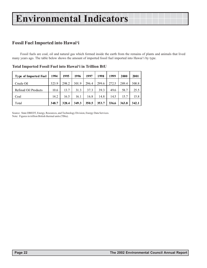### <span id="page-20-0"></span>**Fossil Fuel Imported into Hawaiëi**

Fossil fuels are coal, oil and natural gas which formed inside the earth from the remains of plants and animals that lived many years ago. The table below shows the amount of imported fossil fuel imported into Hawaiëi by type.

| <b>Type of Imported Fuel</b> | 1994  | 1995  | 1996  | 1997  | 1998  | 1999  | 2000  | 2001  |
|------------------------------|-------|-------|-------|-------|-------|-------|-------|-------|
| Crude Oil                    | 323.9 | 298.2 | 301.9 | 296.4 | 299.6 | 272.5 | 289.4 | 300.8 |
| Refined Oil Products         | 10.6  | 13.7  | 31.3  | 37.3  | 39.3  | 49.6  | 58.7  | 25.5  |
| Coal                         | 14.2  | 16.5  | 16.1  | 16.8  | 14.8  | 14.5  | 15.7  | 15.8  |
| Total                        | 348.7 | 328.4 | 349.3 | 350.5 | 353.7 | 336.6 | 363.8 | 342.1 |

|  | Total Imported Fossil Fuel into Hawai'i in Trillion BtU |  |  |  |  |
|--|---------------------------------------------------------|--|--|--|--|
|--|---------------------------------------------------------|--|--|--|--|

Source: State DBEDT, Energy, Resources, and Technology Division, Energy Data Services. Note: Figures in trillion British thermal units (TBtu).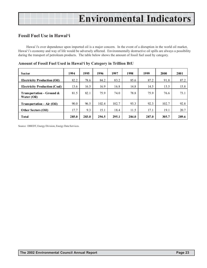### <span id="page-21-0"></span>**Fossil Fuel Use in Hawaiëi**

Hawai`i's over dependence upon imported oil is a major concern. In the event of a disruption in the world oil market, Hawai'i's economy and way of life would be adversely affected. Environmentally destructive oil spills are always a possibility during the transport of petroleum products. The table below shows the amount of fossil fuel used by category.

| <b>Sector</b>                               | 1994  | 1995  | 1996  | 1997  | 1998  | 1999  | 2000  | 2001  |
|---------------------------------------------|-------|-------|-------|-------|-------|-------|-------|-------|
| <b>Electricity Production (Oil)</b>         | 82.2  | 78.6  | 84.2  | 83.2  | 85.6  | 87.2  | 91.8  | 87.2  |
| <b>Electricity Production (Coal)</b>        | 13.6  | 16.5  | 16.9  | 16.8  | 14.8  | 14.5  | 15.5  | 15.8  |
| Transportation - Ground $\&$<br>Water (Oil) | 81.5  | 82.1  | 75.9  | 74.0  | 78.8  | 75.9  | 76.6  | 73.1  |
| <b>Transportation - Air (Oil)</b>           | 90.0  | 96.5  | 102.4 | 102.7 | 93.3  | 92.3  | 102.7 | 92.8  |
| <b>Other Sectors (Oil)</b>                  | 17.7  | 9.3   | 15.1  | 18.4  | 11.5  | 17.1  | 19.1  | 20.7  |
| Total                                       | 285.0 | 283.0 | 294.5 | 295.1 | 284.0 | 287.0 | 305.7 | 289.6 |

**Amount of Fossil Fuel Used in Hawaiëi by Category in Trillion BtU**

Source: DBEDT, Energy Division, Energy Data Services.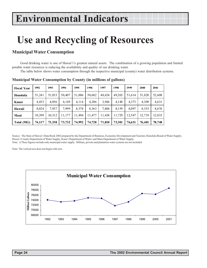## <span id="page-22-0"></span>**Use and Recycling of Resources**

### **Municipal Water Consumption**

Good drinking water is one of Hawai'i's greatest natural assets. The combination of a growing population and limited potable water resources is reducing the availability and quality of our drinking water.

The table below shows water consumption through the respective municipal (county) water distribution systems.

| <b>Fiscal Year</b> | 1992   | 1993   | 1994   | 1995   | 1996   | 1997   | 1998   | 1999   | 2000   | 2001   |
|--------------------|--------|--------|--------|--------|--------|--------|--------|--------|--------|--------|
| Honolulu           | 51,241 | 51,033 | 50.407 | 51,006 | 50,682 | 48,624 | 49,265 | 51.614 | 51,020 | 52,608 |
| Kauai              | 4,453  | 4,056  | 4.149  | 4,114  | 4.206  | 3,944  | 4,148  | 4.373  | 4,309  | 4,631  |
| Hawaii             | 8,024  | 7,937  | 7.999  | 8,378  | 8,363  | 7,804  | 8,159  | 8,097  | 8.353  | 8,676  |
| Maui               | 10,399 | 10,312 | 11.177 | 11,494 | 11,477 | 11,438 | 11,729 | 12.547 | 12.719 | 12,833 |
| Total (MG)         | 74,117 | 73,338 | 73,732 | 74,992 | 74,728 | 71,810 | 73,301 | 76,631 | 76,401 | 78,748 |

**Municipal Water Consumption by County (in millions of gallons)**

Source: The State of Hawai'i Data Book 2002 prepared by the Department of Business, Economic Development and Tourism; Honolulu Board of Water Supply; Hawai`i County Department of Water Supply; Kauaëi Department of Water; and Maui Department of Water Supply. Note: i) These figures include only municipal water supply. Military, private and plantation water systems are not included.

Note: The vertical axis does not begin with zero.

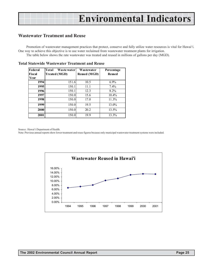### <span id="page-23-0"></span>**Wastewater Treatment and Reuse**

Promotion of wastewater management practices that protect, conserve and fully utilize water resources is vital for Hawai'i. One way to achieve this objective is to use water reclaimed from wastewater treatment plants for irrigation. The table below shows the rate wastewater was treated and reused in millions of gallons per day (MGD).

| Federal<br><b>Fiscal</b><br>Year | Total<br>Waste water<br><b>Treated (MGD)</b> | Wastewater<br><b>Reused (MGD)</b> | Percentage<br><b>Reused</b> |
|----------------------------------|----------------------------------------------|-----------------------------------|-----------------------------|
| 1994                             | 151.6                                        | 10.5                              | $6.9\%$                     |
| 1995                             | 150.1                                        | 11.1                              | 7.4%                        |
| 1996                             | 150.1                                        | 12.3                              | 8.2%                        |
| 1997                             | 150.0                                        | 15.6                              | 10.4%                       |
| 1998                             | 150.0                                        | 17.0                              | 11.3%                       |
| 1999                             | 150.0                                        | 19.5                              | 13.0%                       |
| 2000                             | 150.0                                        | 20.2                              | 13.5%                       |
| 2001                             | 150.0                                        | 19.9                              | 13.3%                       |

**Total Statewide Wastewater Treatment and Reuse**

Source: Hawai'i Department of Health.

Note: Previous annual reports show lower treatment and reuse figures because only municipal wastewater treatment systems were included.

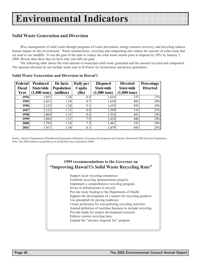### <span id="page-24-0"></span>**Solid Waste Generation and Diversion**

Wise management of solid waste through programs of waste prevention, energy resource recovery, and recycling reduces human impact on the environment. Waste minimization, recycling and composting also reduce the amount of solid waste that we send to our landfills. It was the goal of the state to reduce the solid waste stream prior to disposal by 50% by January 1, 2000. Recent data show that we have only met half our goal.

The following table shows the total amount of municipal solid waste generated and the amount recycled and composted. The amounts diverted do not include waste sent to H-Power for incineration and power generation.

| <b>Federal</b> | Produced               | De facto   | Daily per | <b>Disposed</b>        | <b>Diverted</b>        | Percentage      |
|----------------|------------------------|------------|-----------|------------------------|------------------------|-----------------|
| <b>Fiscal</b>  | <b>Statewide</b>       | Population | Capita    | <b>Statewide</b>       | <b>Statewide</b>       | <b>Diverted</b> |
| Year           | $(1,000 \text{ tons})$ | (million)  | (lbs)     | $(1,000 \text{ tons})$ | $(1,000 \text{ tons})$ |                 |
| 1994           | 1,953                  | 1.28       | 8.4       | 1,616                  | 337                    | 17%             |
| 1995           | 2,023                  | 1.28       | 8.7       | 1,620                  | 403                    | 20%             |
| 1996           | 2,122                  | 1.28       | 9.1       | 1,619                  | 503                    | 24%             |
| 1997           | 2,132                  | 1.31       | 8.9       | 1,599                  | 533                    | 25%             |
| 1998           | 2,004                  | 1.31       | 8.4       | 1,524                  | 481                    | 24%             |
| 1999           | 1,884                  | 1.31       | 7.9       | 1,424                  | 460                    | 24%             |
| 2000           | 1,794                  | 1.34       | 7.3       | 1,441                  | 353                    | 20%             |
| 2001           | 1,971                  | 1.34       | 8.1       | 1,479                  | 493                    | 25%             |

#### **Solid Waste Generation and Diversion in Hawaiëi**

Source: Hawaiëi Department of Health and Department of Business, Economic Development and Tourism, Data Book 2000 (De facto Population). Note: The 2000 numbers are partial as not all facilities have reported to DOH.

### **1999 recommendations to the Governor on "Improving Hawai'i's Solid Waste Recycling Rate"**

Support local recycling enterprises Establish recycling demonstration projects Implement a comprehensive recycling program Invest in infrastructure to recycle Provide more funding to the Department of Health Support the development of a market for recycling products Use glassphalt for paving roadways Create preference for non-polluting recycling activities Amend definition of maritime business to include recycling Provide funds for market development research Enforce current recycling laws Expand the "advance disposal fee" program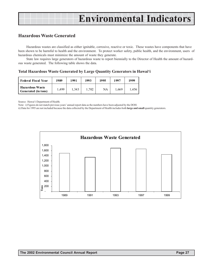### <span id="page-25-0"></span>**Hazardous Waste Generated**

Hazardous wastes are classified as either ignitable, corrosive, reactive or toxic. These wastes have components that have been shown to be harmful to health and the environment. To protect worker safety, public health, and the environment, users of hazardous chemicals must minimize the amount of waste they generate.

State law requires large generators of hazardous waste to report biennially to the Director of Health the amount of hazardous waste generated. The following table shows the data.

**Total Hazardous Waste Generated by Large Quantity Generators in Hawaiëi**

| <b>Federal Fiscal Year</b>                           | 1989 | 1991  | 1993  | 1995 | 1997  | 1999 |
|------------------------------------------------------|------|-------|-------|------|-------|------|
| <b>Hazardous Waste</b><br><b>Generated (in tons)</b> | .499 | 1.343 | 1.702 | NA   | 1,669 | .456 |

Source: Hawai'i Department of Health.

Note: i) Figures do not match previous years' annual report data as the numbers have been adjusted by the DOH.

ii) Data for 1995 are not included because the data collected by the Department of Health includes both **large and small** quantity generators.

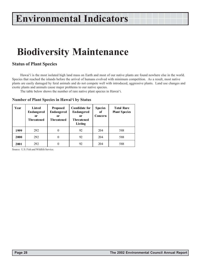## <span id="page-26-0"></span>**Biodiversity Maintenance**

### **Status of Plant Species**

Hawaiëi is the most isolated high land mass on Earth and most of our native plants are found nowhere else in the world. Species that reached the islands before the arrival of humans evolved with minimum competition. As a result, most native plants are easily damaged by feral animals and do not compete well with introduced, aggressive plants. Land use changes and exotic plants and animals cause major problems to our native species.

The table below shows the number of rare native plant species in Hawai'i.

|  | Number of Plant Species in Hawai'i by Status |  |
|--|----------------------------------------------|--|
|  |                                              |  |

| Year | Listed<br><b>Endangered</b><br>0r<br><b>Threatened</b> | <b>Proposed</b><br><b>Endangered</b><br>0r<br>Threatened | <b>Candidate for</b><br><b>Endangered</b><br>0r<br><b>Threatened</b><br>Listing | <b>Species</b><br>of<br>Concern | <b>Total Rare</b><br><b>Plant Species</b> |
|------|--------------------------------------------------------|----------------------------------------------------------|---------------------------------------------------------------------------------|---------------------------------|-------------------------------------------|
| 1999 | 292                                                    | $\theta$                                                 | 92                                                                              | 204                             | 588                                       |
| 2000 | 292                                                    | 0                                                        | 92                                                                              | 204                             | 588                                       |
| 2001 | 292                                                    | 0                                                        | 92                                                                              | 204                             | 588                                       |

Source: U.S. Fish and Wildlife Service.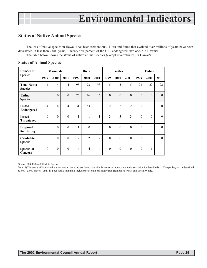### <span id="page-27-0"></span>**Status of Native Animal Species**

The loss of native species in Hawaiëi has been tremendous. Flora and fauna that evolved over millions of years have been devastated in less than 2,000 years. Twenty five percent of the U.S. endangered taxa occur in Hawaiëi. The table below shows the status of native animal species (except invertebrates) in Hawaiëi.

| Number of                             |                | <b>Mammals</b>   |                |                | <b>Birds</b>   |                |                | <b>Turtles</b> |                |                | <b>Fishes</b> |              |
|---------------------------------------|----------------|------------------|----------------|----------------|----------------|----------------|----------------|----------------|----------------|----------------|---------------|--------------|
| Species                               | 1999           | 2000             | 2001           | 1999           | 2000           | 2001           | 1999           | 2000           | 2001           | 1999           | 2000          | 2001         |
| <b>Total Native</b><br><b>Species</b> | $\overline{4}$ | $\overline{4}$   | 4              | 93             | 93             | 93             | 5              | 5              | 5              | 22             | 22            | 22           |
| <b>Extinct</b><br><b>Species</b>      | $\theta$       | $\mathbf{0}$     | $\theta$       | 26             | 26             | 26             | $\theta$       | $\mathbf{0}$   | $\theta$       | $\theta$       | $\theta$      | $\theta$     |
| Listed<br><b>Endangered</b>           | $\overline{4}$ | $\overline{4}$   | $\overline{4}$ | 31             | 33             | 33             | $\overline{2}$ | $\overline{2}$ | $\overline{2}$ | $\theta$       | $\theta$      | $\Omega$     |
| <b>Listed</b><br><b>Threatened</b>    | $\theta$       | $\mathbf{0}$     | $\theta$       | $\mathbf{1}$   | 1              | $\mathbf{1}$   | 3              | $\overline{3}$ | 3              | $\theta$       | $\theta$      | $\theta$     |
| <b>Proposed</b><br>for Listing        | $\theta$       | $\overline{0}$   | $\theta$       | 1              | $\theta$       | $\Omega$       | $\theta$       | $\theta$       | $\theta$       | $\overline{0}$ | $\theta$      | $\Omega$     |
| Candidate<br><b>Species</b>           | $\theta$       | $\overline{0}$   | $\theta$       | $\overline{2}$ | $\overline{2}$ | $\overline{2}$ | $\theta$       | $\theta$       | $\mathbf{0}$   | $\theta$       | $\theta$      | $\theta$     |
| Species of<br>Concern                 | $\theta$       | $\boldsymbol{0}$ | $\theta$       | $\overline{4}$ | $\overline{4}$ | $\overline{4}$ | $\theta$       | $\mathbf{0}$   | $\theta$       | $\theta$       | 1             | $\mathbf{1}$ |

#### **Status of Animal Species**

Source: U.S. Fish and Wildlife Service

Note: i) The status of Hawaiian invertebrates is hard to assess due to lack of information on abundance and distribution for described (5,500+ species) and undescribed (3,000 - 5,000 species) taxa. ii) Four native mammals include the Monk Seal, Hoary Bat, Humpback Whale and Sperm Whale.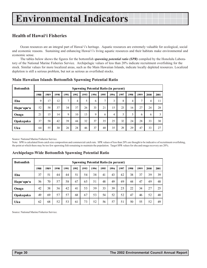### <span id="page-28-0"></span>**Health of Hawaiëi Fisheries**

Ocean resources are an integral part of Hawai'i's heritage. Aquatic resources are extremely valuable for ecological, social and economic reasons. Sustaining and enhancing Hawai'i's living aquatic resources and their habitats make environmental and economic sense.

The tables below shows the figures for the bottomfish *spawning potential ratio (SPR)* compiled by the Honolulu Laboratory of the National Marine Fisheries Service. Archipelagic values of less than 20% indicate recruitment overfishing for the stock. Similar values for more localized areas, such as the Main Hawaiian Islands, indicate locally depleted resources. Localized depletion is still a serious problem, but not as serious as overfished stocks.

| <b>Bottomfish</b> |      | <b>Spawning Potential Ratio (in percent)</b> |      |              |      |      |      |      |      |      |                |               |      |      |
|-------------------|------|----------------------------------------------|------|--------------|------|------|------|------|------|------|----------------|---------------|------|------|
|                   | 1988 | 1989                                         | 1990 | 1991         | 1992 | 1993 | 1994 | 1995 | 1996 | 1997 | 1998           | 1999          | 2000 | 2001 |
| Ehu               | 9    | 17                                           | 12   | $\mathbf{r}$ | 4    | 5    | 6    | 7    | 3    | 8    | $\overline{4}$ | $\mathcal{I}$ | 4    | 11   |
| Hapu'upu'u        | 52   | 58                                           | 37   | 34           | 37   | 26   | 33   | 21   | 15   | 23   | 16             | 27            | 24   | 28   |
| Onaga             | 21   | 15                                           | 14   | 9            | 10   | 13   | 9    | 6    | 4    | 5    | 5              | 6             | 6    | 3    |
| <b>Opakapaka</b>  | 37   | 58                                           | 42   | 39           | 44   | 32   | 37   | 35   | 25   | 32   | 24             | 28            | 33   | 30   |
| Uku               | 64   | 55                                           | 30   | 26           | 28   | 46   | 37   | 40   | 35   | 29   | 29             | 47            | 33   | 27   |

#### **Main Hawaiian Islands Bottomfish Spawning Potential Ratio**

Source: National Marine Fisheries Service.

Note: SPR is calculated from catch size composition and commercial catch rate. SPR values of less than 20% are thought to be indicative of recruitment overfishing, the point at which there may be too few spawning fish remaining to maintain the population. Target SPR values for ehu and onaga recovery are 20%.

| <b>Bottomfish</b> |      | <b>Spawning Potential Ratio (in percent)</b> |      |      |      |      |      |      |      |      |      |      |      |      |
|-------------------|------|----------------------------------------------|------|------|------|------|------|------|------|------|------|------|------|------|
|                   | 1988 | 1989                                         | 1990 | 1991 | 1992 | 1993 | 1994 | 1995 | 1996 | 1997 | 1998 | 1999 | 2000 | 2001 |
| Ehu               | 37   | 51                                           | 44   | 44   | 51   | 54   | 38   | 41   | 43   | 42   | 38   | 37   | 39   | 39   |
| Hapu'upu'u        | 56   | 70                                           | 57   | 58   | 67   | 65   | 51   | 48   | 49   | 49   | 44   | 47   | 49   | 48   |
| Onaga             | 42   | 38                                           | 36   | 42   | 41   | 53   | 39   | 33   | 39   | 25   | 22   | 34   | 27   | 25   |
| <b>Opakapaka</b>  | 49   | 69                                           | 57   | 57   | 68   | 67   | 53   | 54   | 52   | 52   | 47   | 46   | 52   | 48   |
| Uku               | 62   | 68                                           | 52   | 53   | 61   | 73   | 52   | 56   | 57   | 51   | 50   | 55   | 52   | 49   |

#### **Archipelago-Wide Bottomfish Spawning Potential Ratio**

Source: National Marine Fisheries Service.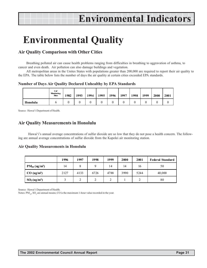## <span id="page-29-0"></span>**Environmental Quality**

### **Air Quality Comparison with Other Cities**

Breathing polluted air can cause health problems ranging from difficulties in breathing to aggravation of asthma, to cancer and even death. Air pollution can also damage buildings and vegetation.

All metropolitan areas in the Unites States with populations greater than 200,000 are required to report their air quality to the EPA. The table below lists the number of days the air quality at certain cities exceeded EPA standards.

**Number of Days Air Quality Declared Unhealthy by EPA Standards**

|          | #of<br>Momittoring<br><b>Sittes</b> | 1982 | 1993 | 1994 | 1995 | 1996 | 1997 | 1998 | 1999 | 2000 | 2001 |
|----------|-------------------------------------|------|------|------|------|------|------|------|------|------|------|
| Honolulu |                                     |      |      |      |      |      |      |      |      |      |      |

Source: Hawai'i Department of Health.

### **Air Quality Measurements in Honolulu**

Hawai'i's annual average concentrations of sulfur dioxide are so low that they do not pose a health concern. The following are annual average concentrations of sulfur dioxide from the Kapolei air monitoring station.

#### **Air Quality Measurements in Honolulu**

|                                      | 1996 | 1997 | 1998 | 1999 | 2000 | 2001 | <b>Federal Standard</b> |
|--------------------------------------|------|------|------|------|------|------|-------------------------|
| $PM_{10}$ (ug/m <sup>3</sup> )       | 14   | 8    |      | 14   | 14   | 16   | 50                      |
| $CO$ (ug/m <sup>3</sup> )            | 2127 | 4133 | 6726 | 4788 | 3990 | 5244 | 40,000                  |
| SO <sub>2</sub> (ug/m <sup>3</sup> ) |      |      | ◠    |      |      | ∠    | 80                      |

Source: Hawai'i Department of Health.

Notes:  $PM_{10}$ ,  $SO_2$  are annual means; CO is the maximum 1-hour value recorded in the year.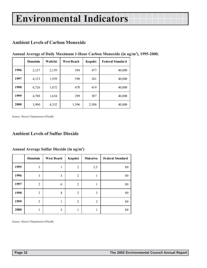### <span id="page-30-0"></span>**Ambient Levels of Carbon Monoxide**

|      | Honolulu | Waikiki | <b>West Beach</b> | Kapolei | <b>Federal Standard</b> |
|------|----------|---------|-------------------|---------|-------------------------|
| 1996 | 2,127    | 2,159   | 594               | 477     | 40,000                  |
| 1997 | 4,133    | 1,939   | 598               | 541     | 40,000                  |
| 1998 | 6,726    | 1,672   | 470               | 419     | 40,000                  |
| 1999 | 4,788    | 1,634   | 299               | 387     | 40,000                  |
| 2000 | 3,990    | 4,332   | 1,596             | 2,508   | 40,000                  |

**Annual Average of Daily Maximum 1-Hour Carbon Monoxide (in ug/m3 ), 1995-2000.**

Source: Hawai'i Department of Health.

### **Ambient Levels of Sulfur Dioxide**

|      | Honolulu       | <b>West Beach</b> | Kapolei        | <b>Makaiwa</b> | <b>Federal Standard</b> |
|------|----------------|-------------------|----------------|----------------|-------------------------|
| 1995 | 3              | 1                 | 2              | 2.5            | 80                      |
| 1996 | 3              | 3                 | $\overline{2}$ | 1              | 80                      |
| 1997 | 2              | 6                 | 2              | 1              | 80                      |
| 1998 | $\overline{2}$ | $\overline{4}$    | 2              | 3              | 80                      |
| 1999 | $\overline{2}$ | 1                 | $\overline{2}$ | 2              | 80                      |
| 2000 |                | 3                 | 1              | ш              | 80                      |

#### **Annual Average Sulfur Dioxide (in ug/m3 )**

Source: Hawaiëi Department of Health.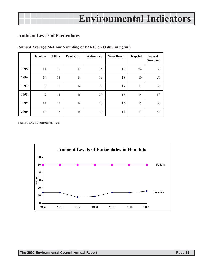### <span id="page-31-0"></span>**Ambient Levels of Particulates**

|      | Honolulu | Liliha | <b>Pearl City</b> | Waimanalo | <b>West Beach</b> | Kapolei | Federal<br><b>Standard</b> |
|------|----------|--------|-------------------|-----------|-------------------|---------|----------------------------|
| 1995 | 14       | 15     | 17                | 16        | 16                | 24      | 50                         |
| 1996 | 14       | 16     | 14                | 16        | 18                | 19      | 50                         |
| 1997 | 8        | 15     | 14                | 18        | 17                | 13      | 50                         |
| 1998 | 9        | 15     | 16                | 20        | 16                | 15      | 50                         |
| 1999 | 14       | 15     | 14                | 18        | 13                | 15      | 50                         |
| 2000 | 14       | 15     | 16                | 17        | 14                | 17      | 50                         |

#### **Annual Average 24-Hour Sampling of PM-10 on Oahu (in ug/m3 )**

Source: Hawai'i Department of Health.

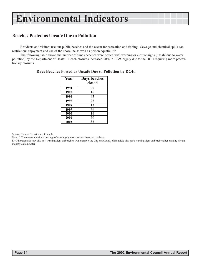### <span id="page-32-0"></span>**Beaches Posted as Unsafe Due to Pollution**

Residents and visitors use our public beaches and the ocean for recreation and fishing. Sewage and chemical spills can restrict our enjoyment and use of the shoreline as well as poison aquatic life.

The following table shows the number of times beaches were posted with warning or closure signs (unsafe due to water pollution) by the Department of Health. Beach closures increased 50% in 1999 largely due to the DOH requiring more precautionary closures.

| Year | Days beaches |
|------|--------------|
|      | closed       |
| 1994 | 20           |
| 1995 | 16           |
| 1996 | 45           |
| 1997 | 28           |
| 1998 | 13           |
| 1999 | 26           |
| 2000 | 16           |
| 2001 | 20           |
| 2002 | 36           |

#### **Days Beaches Posted as Unsafe Due to Pollution by DOH**

Source: Hawaii Department of Health.

Note: i) There were additional postings of warning signs on streams, lakes, and harbors.

ii) Other agencies may also post warning signs on beaches. For example, the City and County of Honolulu also posts warning signs on beaches after opening stream mouths to drain water.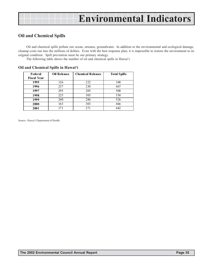### <span id="page-33-0"></span>**Oil and Chemical Spills**

Oil and chemical spills pollute our ocean, streams, groundwater. In addition to the environmental and ecological damage, cleanup costs run into the millions of dollars. Even with the best response plan, it is impossible to restore the environment to its original condition. Spill prevention must be our primary strategy.

The following table shows the number of oil and chemical spills in Hawai'i.

| Federal            | <b>Oil Releases</b> | <b>Chemical Releases</b> | <b>Total Spills</b> |
|--------------------|---------------------|--------------------------|---------------------|
| <b>Fiscal Year</b> |                     |                          |                     |
| 1995               | 126                 | 222                      | 348                 |
| 1996               | 237                 | 230                      | 467                 |
| 1997               | 295                 | 205                      | 500                 |
| 1998               | 225                 | 305                      | 530                 |
| 1999               | 240                 | 286                      | 526                 |
| 2000               | 163                 | 303                      | 466                 |
| 2001               | 171                 | 271                      | 442                 |

#### **Oil and Chemical Spills in Hawaiëi**

Source: Hawai'i Department of Health.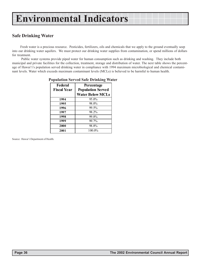### <span id="page-34-0"></span>**Safe Drinking Water**

Fresh water is a precious resource. Pesticides, fertilizers, oils and chemicals that we apply to the ground eventually seep into our drinking water aquifers. We must protect our drinking water supplies from contamination, or spend millions of dollars for treatment.

 Public water systems provide piped water for human consumption such as drinking and washing. They include both municipal and private facilities for the collection, treatment, storage and distribution of water. The next table shows the percentage of Hawai'i's population served drinking water in compliance with 1994 maximum microbiological and chemical contaminant levels. Water which exceeds maximum contaminant levels (MCLs) is believed to be harmful to human health.

| $\alpha$ opulation Served Sale Drimking wa |                                                                   |  |  |  |  |  |  |
|--------------------------------------------|-------------------------------------------------------------------|--|--|--|--|--|--|
| Federal<br><b>Fiscal Year</b>              | Percentage<br><b>Population Served</b><br><b>Water Below MCLs</b> |  |  |  |  |  |  |
| 1994                                       | 95.0%                                                             |  |  |  |  |  |  |
| 1995                                       | 98.0%                                                             |  |  |  |  |  |  |
| 1996                                       | 99.5%                                                             |  |  |  |  |  |  |
| 1997                                       | 98.2%                                                             |  |  |  |  |  |  |
| 1998                                       | 99.8%                                                             |  |  |  |  |  |  |
| 1999                                       | 99.7%                                                             |  |  |  |  |  |  |
| 2000                                       | 98.8%                                                             |  |  |  |  |  |  |
| 2001                                       | 100.0%                                                            |  |  |  |  |  |  |

#### **Population Served Safe Drinking Water**

Source: Hawai'i Department of Health.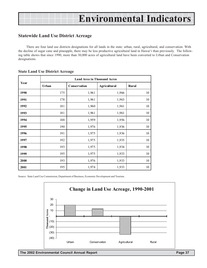### <span id="page-35-0"></span>**Statewide Land Use District Acreage**

There are four land use districts designations for all lands in the state: urban, rural, agricultural, and conservation. With the decline of sugar cane and pineapple, there may be less productive agricultural land in Hawaiëi than previously. The following table shows that since 1990, more than 30,000 acres of agricultural land have been converted to Urban and Conservation designations.

|      |       | <b>Land Area in Thousand Acres</b> |                     |        |  |  |  |  |  |  |  |
|------|-------|------------------------------------|---------------------|--------|--|--|--|--|--|--|--|
| Year | Urban | Conservation                       | <b>Agricultural</b> | Rural  |  |  |  |  |  |  |  |
| 1990 | 175   | 1,961                              | 1,966               | 10     |  |  |  |  |  |  |  |
| 1991 | 178   | 1,961                              | 1,963               | 10     |  |  |  |  |  |  |  |
| 1992 | 181   | 1,960                              | 1,961               | 10     |  |  |  |  |  |  |  |
| 1993 | 181   | 1,961                              | 1,961               | 10     |  |  |  |  |  |  |  |
| 1994 | 188   | 1,959                              | 1,956               | 10     |  |  |  |  |  |  |  |
| 1995 | 190   | 1,976                              | 1,936               | 10     |  |  |  |  |  |  |  |
| 1996 | 191   | 1,975                              | 1,936               | 10     |  |  |  |  |  |  |  |
| 1997 | 192   | 1,975                              | 1,935               | 10     |  |  |  |  |  |  |  |
| 1998 | 193   | 1,975                              | 1,934               | 10     |  |  |  |  |  |  |  |
| 1999 | 195   | 1,975                              | 1,933               | 10     |  |  |  |  |  |  |  |
| 2000 | 193   | 1,976                              | 1,933               | $10\,$ |  |  |  |  |  |  |  |
| 2001 | 195   | 1,974                              | 1,933               | 10     |  |  |  |  |  |  |  |

#### **State Land Use District Acreage**

Source: State Land Use Commission, Department of Business, Economic Development and Tourism.

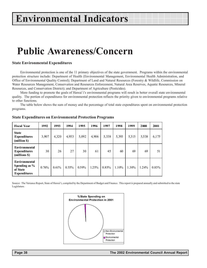## **Public Awareness/Concern**

#### **State Environmental Expenditures**

Environmental protection is one of the 11 primary objectives of the state government. Programs within the environmental protection structure include: Department of Health (Environmental Management, Environmental Health Administration, and Office of Environmental Quality Control); Department of Land and Natural Resources (Forestry & Wildlife, Commission on Water Resources Management, Conservation and Resources Enforcement, Natural Area Reserves, Aquatic Resources, Mineral Resources, and Conservation District); and Department of Agriculture (Pesticides).

More funding to promote the goals of Hawai`i's environmental programs will result in better overall state environmental quality. The portion of expenditures for environmental protection reflects the priority given to environmental programs relative to other functions.

The table below shows the sum of money and the percentage of total state expenditures spent on environmental protection programs.

| <b>Fiscal Year</b>                                                | 1992  | 1993  | 1994     | 1995  | 1996  | 1997  | 1998  | 1999  | 2000  | 2001     |
|-------------------------------------------------------------------|-------|-------|----------|-------|-------|-------|-------|-------|-------|----------|
| <b>State</b><br><b>Expenditures</b><br>(million \$)               | 3,907 | 4,320 | 4,953    | 5,092 | 4,906 | 5,338 | 5,393 | 5,315 | 5,538 | 6,175    |
| Environmental<br><b>Expenditures</b><br>(millions \$)             | 30    | 26    | 27       | 30    | 61    | 45    | 60    | 69    | 69    | 51       |
| Environmental<br>Spending as %<br>of State<br><b>Expenditures</b> | 0.76% | 0.61% | $0.55\%$ | 0.59% | 1.25% | 0.85% | 1.10% | 1.30% | 1.24% | $0.83\%$ |

#### **State Expenditures on Environmental Protection Programs**

Source: The Variance Report, State of Hawaiëi, compiled by the Department of Budget and Finance. This report is prepared annually and submitted to the state Legislature.

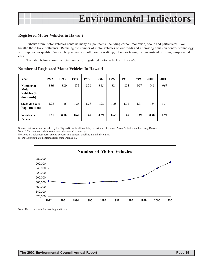#### **Registered Motor Vehicles in Hawaiëi**

Exhaust from motor vehicles contains many air pollutants, including carbon monoxide, ozone and particulates. We breathe these toxic pollutants. Reducing the number of motor vehicles on our roads and improving emission control technology will improve air quality. We can help reduce air pollution by walking, biking or taking the bus instead of riding gas-powered cars.

The table below shows the total number of registered motor vehicles in Hawai'i.

| Year                                                    | 1992 | 1993 | 1994 | 1995 | 1996 | 1997 | 1998 | 1999 | 2000 | 2001 |
|---------------------------------------------------------|------|------|------|------|------|------|------|------|------|------|
| Number of<br><b>Motor</b><br>Vehicles (in<br>thousands) | 886  | 880  | 875  | 878  | 885  | 884  | 893  | 907  | 941  | 967  |
| State de facto<br>Pop. (million)                        | 1.25 | 1.26 | 1.26 | 1.28 | 1.28 | 1.28 | 1.31 | 1.31 | 1.34 | 1.34 |
| Vehicles per<br>Person                                  | 0.71 | 0.70 | 0.69 | 0.69 | 0.69 | 0.69 | 0.68 | 0.69 | 0.70 | 0.72 |

#### **Number of Registered Motor Vehicles In Hawaiëi**

Source: Statewide data provided by the City and County of Honolulu, Department of Finance, Motor Vehicles and Licensing Division.

Note: i) Carbon monoxide is a colorless, odorless and tasteless gas.

ii) Ozone is a poisonous form of pure oxygen. It is pungent smelling and faintly bluish.

iii) De facto population obtained from State Data Book.



Note: The vertical axis does not begin with zero.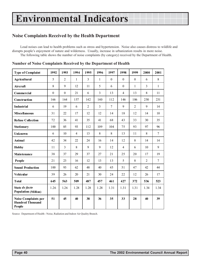### <span id="page-38-0"></span>**Noise Complaints Received by the Health Department**

Loud noises can lead to health problems such as stress and hypertension. Noise also causes distress to wildlife and disrupts people's enjoyment of nature and wilderness. Usually, increase in urbanization results in more noise. The following table shows the number of noise complaints (by category) received by the Department of Health.

| <b>Type of Complaint</b>                                         | 1992             | 1993           | 1994           | 1995           | 1996           | 1997           | 1998             | 1999           | 2000           | 2001           |
|------------------------------------------------------------------|------------------|----------------|----------------|----------------|----------------|----------------|------------------|----------------|----------------|----------------|
| <b>Agricultural</b>                                              | 5                | $\overline{2}$ | $\mathbf{1}$   | $\overline{3}$ | 1              | $\theta$       | $\theta$         | $\theta$       | 6              | 8              |
| Aircraft                                                         | 8                | 9              | 12             | 11             | 5              | 6              | $\boldsymbol{0}$ | 1              | $\overline{3}$ | $\mathbf{1}$   |
| Commercial                                                       | $\boldsymbol{0}$ | $\mathbf{0}$   | 21             | 6              | $\overline{3}$ | 13             | $\overline{4}$   | 13             | 8              | 11             |
| <b>Construction</b>                                              | 166              | 164            | 157            | 142            | 140            | 112            | 146              | 106            | 250            | 231            |
| <b>Industrial</b>                                                | 6                | 19             | 6              | $\overline{2}$ | $\overline{3}$ | $\overline{7}$ | 9                | $\overline{2}$ | 9              | 14             |
| <b>Miscellaneous</b>                                             | 31               | 22             | 17             | 12             | 12             | 14             | 18               | 12             | 14             | 10             |
| <b>Refuse Collection</b>                                         | 72               | 36             | 41             | 35             | 41             | 68             | 43               | 33             | 30             | 35             |
| <b>Stationary</b>                                                | 100              | 85             | 93             | 112            | 109            | 104            | 75               | 93             | 97             | 96             |
| <b>Unknown</b>                                                   | 6                | 10             | $\overline{4}$ | 13             | 8              | 8              | 13               | 11             | 8              | $\overline{7}$ |
| Animal                                                           | 42               | 34             | 22             | 24             | 16             | 14             | 12               | 8              | 14             | 14             |
| <b>Hobby</b>                                                     | 11               | $\overline{3}$ | 8              | 9              | 9              | 12             | $\overline{4}$   | 6              | 10             | 9              |
| <b>Maintenance</b>                                               | 38               | 37             | 29             | 37             | 27             | 21             | 25               | 20             | 17             | 19             |
| People                                                           | 21               | 23             | 16             | 12             | 13             | 13             | 5                | 8              | $\overline{2}$ | $\overline{7}$ |
| <b>Sound Production</b>                                          | 100              | 93             | 62             | 48             | 40             | 45             | 51               | 47             | 42             | 44             |
| Vehicular                                                        | 39               | 26             | 20             | 21             | 30             | 24             | 22               | 12             | 26             | 17             |
| <b>Total</b>                                                     | 645              | 563            | 509            | 487            | 457            | 461            | 427              | 372            | 536            | 523            |
| State de facto<br><b>Population (Million)</b>                    | 1.26             | 1.26           | 1.28           | 1.28           | 1.28           | 1.31           | 1.31             | 1.31           | 1.34           | 1.34           |
| <b>Noise Complaints per</b><br><b>Hundred Thousand</b><br>People | 51               | 45             | 40             | 38             | 36             | 35             | 33               | 28             | 40             | 39             |

#### **Number of Noise Complaints Received by the Department of Health**

Source: Department of Health - Noise, Radiation and Indoor Air Quality Branch.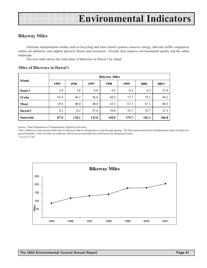### <span id="page-39-0"></span>**Bikeway Miles**

Alternate transportation modes such as bicycling and mass transit systems conserve energy, alleviate traffic congestion, reduce air pollution, and support physical fitness and recreation. Overall, they improve environmental quality and the urban landscape.

The next table shows the total miles of bikeways in Hawai'i by island.

#### **Miles of Bikeways in Hawaiëi**

| <b>Island</b>    | <b>Bikeway Miles</b> |       |       |       |       |       |         |  |  |  |
|------------------|----------------------|-------|-------|-------|-------|-------|---------|--|--|--|
|                  | 1995                 | 1996  | 1997  | 1998  | 1999  | 2000  | $2001*$ |  |  |  |
| Kaua'i           | 3.8                  | 3.8   | 6.8   | 6.5   | 6.2   | 6.2   | 21.0    |  |  |  |
| O'ahu            | 55.4                 | 66.1  | 56.6  | 60.3  | 73.7  | 75.1  | 94.2    |  |  |  |
| Maui             | 19.6                 | 40.0  | 40.8  | 43.3  | 67.1  | 67.1  | 60.3    |  |  |  |
| Hawai'i          | 8.2                  | 8.2   | 27.8  | 30.8  | 32.7  | 32.7  | 31.3    |  |  |  |
| <b>Statewide</b> | 87.0                 | 118.1 | 132.0 | 140.9 | 179.7 | 181.1 | 206.8   |  |  |  |

Source: State Department of Transportation, Highways Division

Note: i) Bikeway miles are provided only for bikeways that are designated as such through signing. The State and counties have installed many miles of improved paved shoulders, 4 feet or wider, on roadways which can accommodate bicycles but are not designated routes.

\* As of 11/7/02

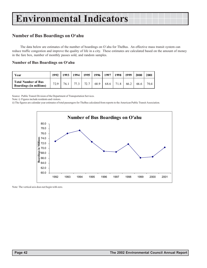### <span id="page-40-0"></span>**Number of Bus Boardings on Oëahu**

The data below are estimates of the number of boardings on O`ahu for TheBus. An effective mass transit system can reduce traffic congestion and improve the quality of life in a city. These estimates are calculated based on the amount of money in the fare box, number of monthly passes sold, and random samples.

#### **Number of Bus Boardings on Oëahu**

| Year                                                         | 1992 | 1993 | 1994 | 1995 | 1996 | 1997 | 1998 | 1999 | 2000 | 2001 |
|--------------------------------------------------------------|------|------|------|------|------|------|------|------|------|------|
| <b>Total Number of Bus</b><br><b>Boardings (in millions)</b> | 72.9 | 76.1 | 77.3 | 72.7 | 68.9 | 68.6 | 71.8 | 66.2 | 66.6 | 70.4 |

Source: Public Transit Division of the Department of Transportation Services.

Note: i) Figures include residents and visitors.

ii) The figures are calendar year estimates of total passengers for TheBus calculated from reports to the American Public Transit Association.



Note: The vertical axis does not begin with zero.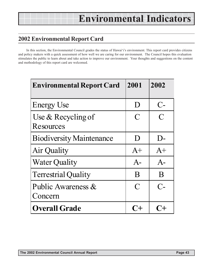## **2002 Environmental Report Card**

In this section, the Environmental Council grades the status of Hawai'i's environment. This report card provides citizens and policy makers with a quick assessment of how well we are caring for our environment. The Council hopes this evaluation stimulates the public to learn about and take action to improve our environment. Your thoughts and suggestions on the content and methodology of this report card are welcomed.

| <b>Environmental Report Card</b> | 2001           | 2002          |
|----------------------------------|----------------|---------------|
| <b>Energy Use</b>                | $\blacksquare$ | $C$ -         |
| Use & Recycling of<br>Resources  | $\mathbf C$    | $\mathcal{C}$ |
| <b>Biodiversity Maintenance</b>  | $\mathbf D$    |               |
| Air Quality                      | $A+$           | $A+$          |
| <b>Water Quality</b>             | $A-$           | $A-$          |
| <b>Terrestrial Quality</b>       | B              | B             |
| Public Awareness &<br>Concern    | $\mathbf C$    | $C_{\Xi}$     |
| <b>Overall Grade</b>             |                |               |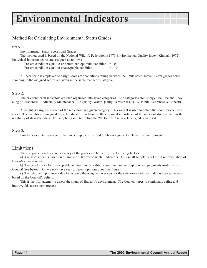### Method for Calculating Environmental Status Grades:

#### **Step 1.**

Environmental Status Scores and Grades

The method used is based on the National Wildlife Federationís 1971 Environmental Quality Index (Kimball, 1972). Individual indicator scores are assigned as follows:

Present condition equal to or better than optimum condition  $= 100$ 

Present condition equal to unacceptable condition

A linear scale is employed to assign scores for conditions falling between the limits listed above. Letter grades corresponding to the assigned scores are given in the same manner as last year.

#### **Step 2.**

The environmental indicators are then organized into seven categories. The categories are: Energy Use, Use and Recycling of Resources, Biodiversity Maintenance, Air Quality, Water Quality, Terrestrial Quality, Public Awareness & Concern.

A weight is assigned to each of the indicators in a given category. This weight is used to obtain the score for each category. The weights are assigned to each indicator in relation to the empirical importance of the indicator itself as well as the reliability of its related data. For simplicity in interpreting the "0" to "100" scores, letter grades are used.

#### **Step 3.**

Finally, a weighted average of the nine components is used to obtain a grade for Hawai'i's environment.

#### Limitations:

The comprehensiveness and accuracy of the grades are limited by the following factors:

a) The assessment is based on a sample of 20 environmental indicators. This small sample is not a full representation of Hawai'i's environment.

b) The benchmarks for unacceptable and optimum conditions are based on assumptions and judgments made by the Council (see below). Others may have very different opinions about the figures.

c) The relative importance value to compute the weighted averages for the categories and total index is also subjective based on the Council's beliefs.

This is the fifth attempt to assess the status of Hawai'i's environment. The Council hopes to continually refine and improve this assessment process.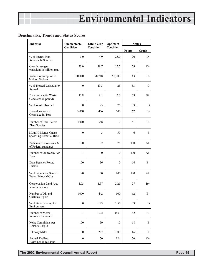#### **Benchmarks, Trends and Status Scores**

| Indicator                                         | Unacceptable     | <b>Latest Year</b> | Optimum   | <b>Status</b> |       |  |
|---------------------------------------------------|------------------|--------------------|-----------|---------------|-------|--|
|                                                   | Condition        | Condition          | Condition | <b>Points</b> | Grade |  |
| % of Energy from<br>Renewable Sources             | 0.0              | 4.9                | 25.0      | 20            | $D-$  |  |
| Greenhouse gas<br>emissions in million tons       | 23.0             | 18.7               | 15.7      | 59            | $C+$  |  |
| Water Consumption in<br>Million Gallons           | 100,000          | 78,748             | 50,000    | 43            | $C-$  |  |
| % of Treated Wastewater<br>Reused                 | $\overline{0}$   | 13.3               | 25        | 53            | C     |  |
| Daily per capita Waste<br>Generated in pounds     | 10.8             | 8.1                | 3.6       | 38            | $D+$  |  |
| % of Waste Diverted                               | $\overline{0}$   | 25                 | 75        | 33            | D     |  |
| Hazardous Waste<br>Generated in Tons              | 3,000            | 1,456              | 500       | 62            | $B-$  |  |
| Number of Rare Native<br>Plant Species            | 1000             | 588                | $\theta$  | 41            | $C-$  |  |
| Main HI Islands Onaga<br>Spawning Potential Rate  | $\Omega$         | 3                  | 50        | 6             | F     |  |
| Particulate Levels as a %<br>of Federal standards | 100              | 32                 | 75        | 100           | $A+$  |  |
| Number of Unhealthy Air<br>Days                   | 1                | $\overline{0}$     | $\Omega$  | 100           | $A+$  |  |
| Days Beaches Posted<br>Unsafe                     | 100              | 36                 | $\Omega$  | 64            | $B-$  |  |
| % of Population Served<br>Water Below MCLs        | 90               | 100                | 100       | 100           | $A+$  |  |
| Conservation Land Area<br>in million acres        | 1.03             | 1.97               | 2.25      | 77            | $B+$  |  |
| Number of Oil and<br>Chemical Spills              | 1000             | 442                | 100       | 62            | $B-$  |  |
| % of State Funding for<br>Environment             | $\boldsymbol{0}$ | 0.83               | 2.50      | 33            | D     |  |
| Number of Motor<br>Vehicles per capita            | $\mathbf{1}$     | 0.72               | 0.33      | 42            | $C-$  |  |
| Noise Complaints per<br>100,000 People            | 100              | 39                 | 10        | 68            | B     |  |
| <b>Bikeway Miles</b>                              | $\mathbf{0}$     | 207                | 1309      | 16            | F     |  |
| Annual TheBus<br>Boardings in millions            | $\boldsymbol{0}$ | 70                 | 124       | 56            | $C+$  |  |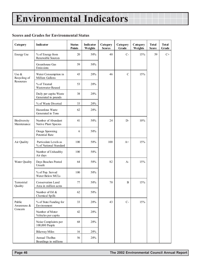#### **Scores and Grades for Environmental Status**

| Category                           | Indicator                                       | <b>Status</b><br><b>Points</b> | Indicator<br>Weights | Category<br><b>Scores</b> | Category<br>Grade | Category<br>Weights | <b>Total</b><br><b>Score</b> | <b>Total</b><br>Grade |
|------------------------------------|-------------------------------------------------|--------------------------------|----------------------|---------------------------|-------------------|---------------------|------------------------------|-----------------------|
| <b>Energy Use</b>                  | % of Energy from<br>Renewable Sources           | 20                             | 50%                  | 40                        | $C-$              | 15%                 | 59                           | $C+$                  |
|                                    | Greenhouse Gas<br>Emissions                     | 59                             | 50%                  |                           |                   |                     |                              |                       |
| Use $\&$<br>Recycling of           | Water Consumption in<br>Million Gallons         | 43                             | 20%                  | 46                        | $\mathbf C$       | 15%                 |                              |                       |
| Resources                          | % of Treated<br>Wastewater Reused               | 53                             | 20%                  |                           |                   |                     |                              |                       |
|                                    | Daily per capita Waste<br>Generated in pounds   | 38                             | 20%                  |                           |                   |                     |                              |                       |
|                                    | % of Waste Diverted                             | 33                             | 20%                  |                           |                   |                     |                              |                       |
|                                    | Hazardous Waste<br>Generated in Tons            | 62                             | 20%                  |                           |                   |                     |                              |                       |
| <b>Biodiversity</b><br>Maintenance | Number of Abundant<br>Native Plant Species      | 41                             | 50%                  | 24                        | $D-$              | 10%                 |                              |                       |
|                                    | Onaga Spawning<br>Potential Rate                | 6                              | 50%                  |                           |                   |                     |                              |                       |
| Air Quality                        | Particulate Levels as<br>% of National Standard | 100                            | 50%                  | 100                       | $A+$              | 15%                 |                              |                       |
|                                    | Number of Unhealthy<br>Air days                 | 100                            | 50%                  |                           |                   |                     |                              |                       |
| Water Quality                      | Days Beaches Posted<br>Unsafe                   | 64                             | 50%                  | 82                        | $A-$              | 15%                 |                              |                       |
|                                    | % of Pop. Served<br>Water Below MCLs            | 100                            | 50%                  |                           |                   |                     |                              |                       |
| Terrestrial<br>Quality             | Conservation Land<br>Area in million acres      | 77                             | 50%                  | 70                        | B                 | 15%                 |                              |                       |
|                                    | Number of Oil &<br>Chemical Spills              | 62                             | 50%                  |                           |                   |                     |                              |                       |
| Public<br>Awareness &              | % of State Funding for<br>Environment           | 33                             | 20%                  | 43                        | $C-$              | 15%                 |                              |                       |
| Concern                            | Number of Motor<br>Vehicles per capita          | 42                             | 20%                  |                           |                   |                     |                              |                       |
|                                    | Noise Complaints per<br>100,000 People          | 68                             | 20%                  |                           |                   |                     |                              |                       |
|                                    | <b>Bikeway Miles</b>                            | 16                             | 20%                  |                           |                   |                     |                              |                       |
|                                    | Annual TheBus<br>Boardings in millions          | 56                             | $20\%$               |                           |                   |                     |                              |                       |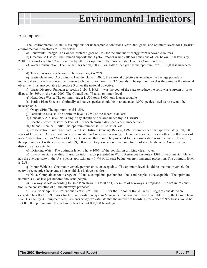#### Assumptions:

The Environmental Council's assumptions for unacceptable conditions, year 2002 goals, and optimum levels for Hawai'i's environmental indicators are listed below.

a) Renewable Energy: The Council prefers a goal of 25% for the amount of energy from renewable sources.

b) Greenhouse Gasses: The Council supports the Kyoto Protocol which calls for emissions of 7% below 1990 levels by 2010. This works out to 5.7 million tons by 2010 for optimum. The unacceptable level is 23 million tons.

c) Water Consumption: The Council has set 50,000 million gallons per year as the optimum level. 100,000 is unacceptable.

d) Treated Wastewater Reused: The reuse target is 25%.

e) Waste Generated: According to Healthy Hawaiëi 2000, the national objective is to reduce the average pounds of municipal solid waste produced per person each day to no more than 3.6 pounds. The optimum level is the same as the national objective. It is unacceptable to produce 3 times the national objective.

f) Waste Diverted: Pursuant to section 342G-3, HRS, it was the goal of the state to reduce the solid waste stream prior to disposal by 50% by the year 2000. The Council sets 75 as an optimum level.

g) Hazardous Waste: The optimum target is 500 tons. 3,000 tons is unacceptable.

h) Native Plant Species: Optimally, all native species should be in abundance. 1,000 species listed as rare would be unacceptable.

i) Onaga SPR: The optimum level is 50%.

j) Particulate Levels: The optimum level is 75% of the federal standard.

k) Unhealthy Air Days: Not a single day should be declared unhealthy in Hawaiëi.

l) Beaches Posted Unsafe: A level of 100 beach closure days per year is unacceptable.

m)Oil and Chemical Spills: The optimum number is 100 spills or less.

n) Conservation Land: The State Land Use District Boundary Review, 1992, recommended that approximately 150,000 acres of Urban and Agricultural lands be converted to Conservation zoning. The report also identifies another 139,000 acres of non-Conservation land as "Areas of Critical Concern" that should be protected for its conservation resource value. Therefore, the optimum level is the conversion of 289,000 acres. Any less amount than one fourth of state lands in the Conservation district is unacceptable.

o) Drinking Water: The optimum level to have 100% of the population drinking clean water.

p) Environmental Spending: Based on information presented in World Resources Institute's 1992 Environmental Almanac the average state in the U.S. spends approximately 1.9% of its state budget on environmental protection. The optimum level is 2.5%.

q) Motor Vehicles: One motor vehicle per person is unacceptable. The optimum level should be one motor vehicle for every three people (the average household size is three people).

r) Noise Complaints: An average of 100 noise complaints per hundred thousand people is unacceptable. The optimum number is 10 or less per hundred thousand people.

s) Bikeway Miles: According to Bike Plan Hawaiëi a total of 1,309 miles of bikeways is proposed. The optimum condition is the construction of all the bikeways proposed.

t) Bus Ridership: The present bus fleet is 525. The FEIS for the Honolulu Rapid Transit Program considered an expanded bus fleet of 997 buses for the Transportation System Management alternative. Based on Table 1.1 in the Comprehensive Bus Facility & Equipment Requirements Study, we estimate that the number of boardings for a fleet of 997 buses would be 124,000,000 per annum. The optimum level is 124,000,000 boardings.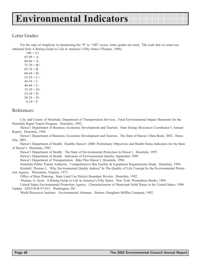### Letter Grades:

For the sake of simplicity in interpreting the "0" to "100" scores, letter grades are used. The scale that we used was obtained from A Rating Guide to Life in Americaís Fifty States (Thomas, 1994).

 $100 = A +$  $85-99 = A$  $80-84 = A$  $75-79 = B+$  $65-74 = B$  $60-64 = B$  $55-59 = C+$  $45-54 = C$  $40-44 = C$  $35-39 = D+$  $25-34 = D$  $20-24 = D$  $0-19 = F$ 

#### References:

City and County of Honolulu, Department of Transportation Services. Final Environmental Impact Statement for the Honolulu Rapid Transit Program. Honolulu, 1992.

Hawai'i Department of Business, Economic Development and Tourism. State Energy Resources Coordinator's Annual Report. Honolulu, 1994.

Hawaiëi Department of Business, Economic Development and Tourism. The State of Hawai`i Data Book, 2002. Honolulu, 2001.

Hawai'i Department of Health. Healthy Hawai'i 2000: Preliminary Objectives and Health Status Indicators for the State of Hawaiëi. Honolulu, 1995.

Hawaiëi Department of Health. The State of Environmental Protection In Hawaiëi. Honolulu, 1997.

Hawaiëi Department of Health. Indicators of Environmental Quality, September 1999.

Hawai'i Department of Transportation. Bike Plan Hawai'i. Honolulu, 1994.

Honolulu Public Transit Authority. Comprehensive Bus Facility & Equipment Requirements Study. Honolulu, 1994.

Kimball, Thomas L. Why Environmental Quality Indices? In The Quality of Life Concept by the Environmental Protection Agency. Warrenton, Virginia, 1972.

Office of State Planning. State Land Use District Boundary Review. Honolulu, 1992.

Thomas, G. Scott. A Rating Guide to Life in Americaís Fifty States. New York: Prometheus Books, 1994.

United States Environmental Protection Agency. Characterization of Municipal Solid Waste in the United States: 1996 Update. EPA530-R-97-015. Washington, DC.

World Resources Institute. Environmental Almanac. Boston: Houghton Mifflin Company, 1992.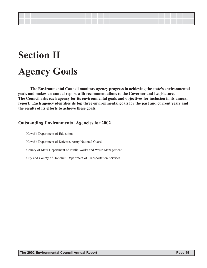## **Section II Agency Goals**

The Environmental Council monitors agency progress in achieving the state's environmental **goals and makes an annual report with recommendations to the Governor and Legislature. The Council asks each agency for its environmental goals and objectives for inclusion in its annual report. Each agency identifies its top three environmental goals for the past and current years and the results of its efforts to achieve these goals.**

### **Outstanding Environmental Agencies for 2002**

Hawai'i Department of Education Hawaiëi Department of Defense, Army National Guard County of Maui Department of Public Works and Waste Management City and County of Honolulu Department of Transportation Services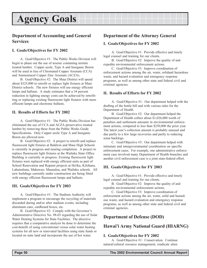### <span id="page-48-0"></span>**Department of Accounting and General Services**

#### **I. Goals/Objectives for FY 2002**

A. Goal/Objective #1: The Public Works Division will begin to phase out the use of arsenic containing termite treated lumber. Copper azole, Type A and Inorganic Boron will be used in lieu of Chromated Copper Arsenate (CCA) and Ammoniacal Copper Zinc Arsenate (ACZA).

B. Goal/Objective #2: The Maui District will spend about \$325,000 to retrofit or replace light fixtures at Maui District schools. The new fixtures will use energy efficient lamps and ballasts. A study estimates that a 34 percent reduction in lighting energy costs can be achieved by retrofitting or replacing existing fluorescent light fixtures with more efficient lamps and electronic ballasts.

#### **II. Results of Efforts for FY 2002**

A. Goal/Objective #1: The Public Works Division has eliminated the use of CCA and ACZA preservative treated lumber by removing these from the Public Works Guide Specifications. Only Copper azole Type A and Inorganic Boron are allowed now.

B. Goal/Objective #2: A project to retrofit and replace fluorescent light fixtures at Baldwin and Maui High Schools is currently in progress and nearing completion. A project to replace fluorescent light fixtures at the Wailuku State Office Building is currently in progress. Existing fluorescent light fixtures were replaced with energy efficient units as part of School Renovation and Repaint projects at Ha'iku, Kilohana, Lahainaluna, Makawao, Maunaloa, and Wailuku schools. All new buildings currently under construction are being fitted with energy efficient fluorescent lamps and ballasts.

#### **III. Goals/Objectives for FY 2003**

A. Goal/Objective #1: The Stadium Authority will implement a program to encourage the recycling of materials discarded during and/or after stadium events, including aluminum cans, cardboard boxes, etc.

B. Goal/Objective #2: Comply with the Governor's Administrative Directive No. 98-03 regarding the use of Solar Water Heating Systems for State Facilities. The directive requires that a comparative analysis be done to determine the cost-benefit of using conventional versus solar water heating systems for all new or renovated facilities using state funds or located on state land and incorporate the use of hot water.

### **Department of the Attorney General**

#### **I. Goals/Objectives for FY 2002**

A. Goal/Objective #1: Provide effective and timely legal counsel and training for our clients.

B. Goal/Objective #2: Improve the quality of and expedite environmental enforcement actions.

C. Goal/Objective #3: Improve coordination of enforcement actions among the air, water, solidand hazardous waste, and hazard evaluation and emergency response programs, as well as among other state and federal civil and criminal agencies.

#### **II. Results of Efforts for FY 2002**

A. Goal/Objective #1: Our department helped with the drafting of the bottle bill and with various rules for the Department of Health.

B. Goal/Objective #2: Our department helped the Department of Health collect about \$1,026,000 worth of penalties and settlement amounts in environmental enforcement actions, compared to less than \$250,000 the prior year. The latest year's collection amount is probably unusual and due partly to a few large recoveries and partly to reducing some backlogs.

C. Goal/Objective #3: Our department helped with intrastate and intergovernmental coordination on specific enforcement cases. For example, one administrative enforcement case involved many Department of Health branches and another civil enforcement case is a joint state-federal effort.

#### **III. Goals/Objectives for FY 2003**

A. Goal/Objective #1: Provide effective and timely legal counsel and training for our clients.

B. Goal/Objective #2: Improve the quality of and expedite environmental enforcement actions.

C. Goal/Objective #3: Improve coordination of enforcement actions among the air, water, solid and hazardous waste, and hazard evaluation and emergency response programs, as well as among other state and federal civil and criminal agencies.

### **Department of Defense (DOD)**

### **Hawai'i Army National Guard (HIARNG)**

#### **I. Goals/Objectives for FY 2002**

A. Goal/Objective #1: Conservation. Continue natural/cultural resource management, eradicate alien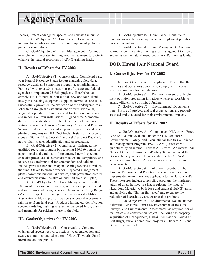species, protect endangered species, and educate the public.

B. Goal/Objective #2: Compliance. Continue to monitor for regulatory compliance and implement pollution prevention initiatives.

C. Goal/Objective #3: Land Management. Continue to implement integrated training area management to protect/ enhance the natural resources of ARNG training lands.

#### **II. Results of Efforts for FY 2002**

A. Goal/Objective #1: Conservation. Completed a sixyear Natural Resource Status Report analyzing field data, resource trends and compiling program accomplishments. Partnered with over 20 private, non-profit, state and federal agencies to implement 25 field projects. Established an entirely self-sufficient, in-house field crew and four island base yards housing equipment, supplies, herbicides and tools. Successfully prevented the extinction of the endangered Maui ëohai tree through the establishment of three additional, irrigated populations. Surveyed and treated fountain grass and miconia on four installations. Signed three Memorandums of Understanding with the Department of Land and Natural Resources, Hawai'i Community College and Punahou School for student and volunteer plant propagation and outplanting programs on HIARNG lands. Installed interpretive signs at Diamond Head (O'ahu) and Kekaha (west Kaua'i) for native plant species identification and appreciation.

B. Goal/Objective #2: Compliance. Enhanced the qualified recycling program by recycling 160,680 pounds of paper, metal and cardboard. Implemented new inspection checklist procedures/documentation to ensure compliance and to serve as a training tool for commanders and soldiers. Fielded parts-washer and weapon cleaning systems to reduce the time it takes to clean a weapon. Updated management plans (hazardous material and waste, spill prevention control and countermeasure, installation and unit field spill plan).

 C. Goal/Objective #3: Land Management. Installed 10 tons of erosion-control mats (geotextiles) to prevent wind and rain erosion of firing berms at Ukumehame Firing Range (Maui). Completed a fencing project at Keaukaha Military Reservation (Hilo) to protect 108 acres of coastal old-growth rain forest from feral pigs. Produced laminated identification species cards highlighting rare and endangered birds, plants and mammals for soldiers to use in the field.

#### **III. Goals/Objectives for FY 2003**

A. Goal/Objective #1: Conservation. Continue endangered species recovery, noxious weed eradication, and awareness training and education of Hawai'i's youth, Guard members, and the public.

B. Goal/Objective #2: Compliance. Continue to monitor for regulatory compliance and implement pollution prevention initiatives.

C. Goal/Objective #3: Land Management. Continue to implement integrated training area management to protect and enhance the natural resources of ARNG training lands.

### **DOD, Hawai'i Air National Guard**

#### **I. Goals/Objectives for FY 2002**

A. Goal/Objective #1: Compliance. Ensure that the facilities and operations continue to comply with Federal, State and military base regulations.

B. Goal/Objective #2: Pollution Prevention. Implement pollution prevention initiatives whenever possible to ensure efficient use of limited funding.

C. Goal/Objective #3: Environmental Documentation. Ensure all projects and real estate actions are properly assessed and evaluated for their environmental impacts.

#### **II. Results of Efforts for FY 2002**

A. Goal/Objective #1: Compliance. Hickam Air Force Base (AFB) units evaluated under the U.S. Air Force's Environmental, Safety, and Occupational Health Compliance and Management Program (ESOHCAMP) assessment guidelines by an internal Hickam AFB team. An internal Air National Guard Environmental/Safety Team evaluated the Geographically Separated Units under the ESOHCAMP assessment guidelines. All discrepancies identified have been corrected.

B. Goal/Objective #2: Pollution Prevention. The 15ABW Environmental Pollution Prevention section has implemented many measures applicable to the Hawai'i ANG. These measures include a recycling program, the implementation of an authorized use list, regulating the issue of Hazardous Material to both base and tenant (HIANG) units, and applying the "first in first used" rule to ensure the reduction of hazardous waste or unusable products.

C. Goal/Objective #3: Environmental Documentation. Submitted Air Force Form 813, Environmental Baseline Surveys, and Environmental Assessments, as required, for all real estate and construction projects including the property acquisition of Headquarters, Hawai'i Air National Guard at Fort Ruger, various demolition projects at Hickam AFB and General Lyman Field, Hilo.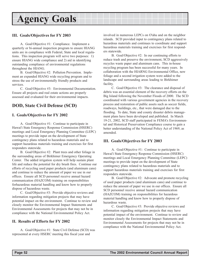#### **III. Goals/Objectives for FY 2003**

A. Goal/Objective #1: Compliance. Implement a quarterly or bi-annual inspection program to ensure HIANG units are in compliance with Federal, State and local regulations. This inspection program will serve two purposes: 1) ensure HIANG wide compliance and 2) aid in identifying outstanding compliance of environmental regulations throughout the HIANG.

B. Goal/Objective #2: Pollution Prevention. Implement an expanded HIANG wide recycling program and to stress the use of environmentally friendly products and services.

C. Goal/Objective #3: Environmental Documentation. Ensure all projects and real estate actions are properly assessed and evaluated for their environmental impacts.

### **DOD, State Civil Defense (SCD)**

#### **I. Goals/Objectives for FY 2002**

A. Goal/Objective #1: Continue to participate in Hawai'i State Emergency Response Commission (HSERC) meetings and Local Emergency Planning Committee (LEPC) meetings to provide input on the development of State contingency plans related to hazardous materials and to support hazardous materials training and exercises for first responders statewide.

B. Goal/Objective #2: Plant trees and other foliage in the surrounding areas of Birkhimer Emergency Operating Center. The added irrigation system will help sustain plant life and reduce the potential for dry brush fires. Continue our efforts of recycling used paper products (and aluminum cans) and continue to reduce the amount of paper we use in our offices. Ensure all SCD personnel receive annual hazard communication (HAZCOM) training on responsibilities forhazardous material handling and know how to properly dispose of hazardous waste.

C. Goal/Objective #3: Provide objective reviews and information regarding mitigation projects that may have potential impact on the environment. Continue to review and closely monitor the Environmental Impact Statements and Environmental Assessments for projects that may not be in compliance with the National Environmental Policy Act.

#### **II. Results of Efforts for FY 2002**

A. Goal/Objective #1: State Civil Defense (SCD) was represented at every HSERC meeting this fiscal year and

involved in numerous LEPCs on O'ahu and on the neighbor islands. SCD provided input to contingency plans related to hazardous materials and continues to coordinate and support hazardous materials training and exercises for first responders statewide.

B. Goal/Objective #2: In our continuing efforts to reduce trash and preserve the environment, SCD aggressively recycles waste paper and aluminum cans. This in-house recycling program has been successful for many years. In collaboration with the HIARNG Environmental Office, new foliage and a second irrigation system were added to the landscape and surrounding areas leading to Birkhimer facility.

C. Goal/Objective #3: The clearance and disposal of debris was an essential element of the recovery efforts on the Big Island following the November Floods of 2000. The SCD coordinated with various government agencies in the recovery process and restoration of public assets such as soccer fields, roadways, buildings, etc., that were damaged due to the flooding. To date, State and county disaster debris management plans have been developed and published. In March 19-21, 2002, SCD staff participated in FEMA's Environmental and Historical Preservation Compliance course to gain a better understanding of the National Policy Act of 1969, as amended.

#### **III. Goals/Objectives for FY 2003**

A. Goal/Objective #1: Continue to participate in Hawai'i State Emergency Response Commission (HSERC) meetings and Local Emergency Planning Committee (LEPC) meetings to provide input on the development of State contingency plans related to hazardous materials and to support hazardous materials training and exercises for first responders statewide.

B. Goal/Objective #2: Advocate and promote recycling of used paper products (and aluminum cans) and continue to reduce the amount of paper we use in our offices. Ensure all SCD personnel receive annual hazard communication (HAZCOM) training on responsibilities for hazardous material handling and know how to properly dispose of hazardous waste.

C. Goal/Objective #3: Provide objective reviews and information regarding mitigation projects that may have potential impact of the environment. Continue to review and monitor closely the Environmental Impact Statements and Environmental Assessments for projects that may not be in compliance with the National Environmental Policy Act.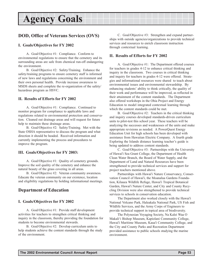### <span id="page-51-0"></span>**DOD, Office of Veterans Services (OVS)**

#### **I. Goals/Objectives for FY 2002**

A. Goal/Objective #1: Compliance. Conform to environmental regulations to ensure that the cemetery and its surrounding areas are safe from chemical run-off endangering the environment.

B. Goal/Objective #2: Safety/Training. Enhance the safety/training programs to ensure cemetery staff is informed of new laws and regulations concerning the environment and their own personal health. Provide increase awareness to MSDS sheets and complete the re-organization of the safety/ hazardous program as HSVC.

#### **II. Results of Efforts for FY 2002**

A. Goal/Objective #1: Compliance. Continued to monitor program for compliance to applicable laws and regulations related to environmental protection and conservation. Cleaned out drainage areas and will request for future help to maintain these drainage areas.

B. Goal/Objective #2: Safety/Training. Met with the State OSHA representative to discuss the program and what direction it should be headed. Received information and currently implementing the process and procedures to improve the program.

#### **III. Goals/Objectives for FY 2003:**

A. Goal/Objective #1: Quality of cemetery grounds. Improve the soil quality of the cemetery and enhance the natural beauty of the grass covering in all areas.

B. Goal/Objective #2: Veteran community awareness. Educate the veteran community on our existence, location and eligibility regulations by holding informational meetings.

#### **Department of Education**

#### **I. Goals/Objectives for FY 2002**

A. Goal/Objective #1: Provide staff development activities for teachers to strengthen critical thinking and inquiry in the classroom, thereby providing the foundation for students to become environmental stewards.

B. Goal/Objective #2: Develop curriculum units to help students achieve the content standards through the study of the environment.

C. Goal/Objective #3: Strengthen and expand partnerships with outside agencies/organizations to provide technical services and resources to enrich classroom instruction through contextual learning.

#### **II. Results of Efforts for FY 2002**

A. Goal/Objective #1: The Department offered courses for teachers in grades 4-12 to enhance critical thinking and inquiry in the classroom. Two courses in critical thinking and inquiry for teachers in grades 4-12 were offered. Strategies and informational resources were shared to teach about environmental issues and environmental stewardship. By enhancing students' ability to think critically, the quality of their work and performance will be improved, as reflected in their attainment of the content standards. The Department also offered workshops in the Ohia Project and Energy Education to model integrated contextual learning through which the content standards could be met.

B. Goal/Objective #2: Teachers in the critical thinking and inquiry courses developed standards-driven curriculum units to pilot-test this school year. These teachers will be analyzing the successes and weaknesses of the units and make appropriate revisions as needed. A PowerQuest Energy Education Unit for high schools has been developed with assistance from Hawaiian Electric Company. A fourth grade Exploring the Islands distance learning teacher's guide is being updated to address content standards.

C. Goal/Objective #3: Partnerships with the University of Hawai'i Sea Grant College, the Department of Health Clean Water Branch, the Board of Water Supply, and the Department of Land and Natural Resources have been strengthened to provide technical services and support for project teachers mentioned above.

Partnerships with Hawai'i Nature Conservancy, Conservation Council of Hawai'i, the Moanalua Gardens Foundation, Kilauea Wildlife Refuge, Hawai'i Tropical Botanical Garden, Hawai'i Nature Center, and City and County Recycling Division were also strengthened to provide technical services to schools in conservation education.

The Department also worked closely with the Hawai'i National Volcano Park, Haleakala National Park, US Fish and Wildlife Services, and the Army Corps of Engineers to provide technical support in topical area of biodiversity.

The Polynesian Voyaging Society, Na Kalei Waa O Makaliëi Bishop Museum, Kapiolani Community College, Hawai'i Maritime Museum, Kaua'i Community College, and the City and County Parks and Recreation Department provided assistance to public schools studying the marine environment.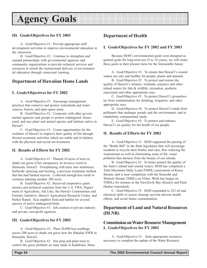#### <span id="page-52-0"></span>**III. Goals/Objectives for FY 2003**

A. Goal/Objective #1: Provide appropriate staff development activities to improve environmental education in the classroom.

B. Goal/Objective #2: Continue to strengthen and expand partnerships with governmental agencies and community organizations to provide technical services and resources to enrich the instructional delivery of environmental education through contextual learning.

### **Department of Hawaiian Home Lands**

#### **I. Goals/Objectives for FY 2002**

A. Goal/Objective #1: Encourage management practices that conserve and protect watersheds and water sources, forests, and open space areas.

B. Goal/Objective #2: Cooperate with other governmental agencies and groups to protect endangered, threatened, and rare plant and animal species and habitats native to Hawai'i.

C. Goal/Objective #3: Create opportunities for the residents of Hawai'i to improve their quality of life through diverse economic activities which are stable and in balance with the physical and social environments.

#### **II. Results of Efforts for FY 2002**

A. Goal/Objective #1: Planted 10 acres of trees to shade out gorse (Ulex europaeus), an invasive weed in Humuula, Hawai'i. Overplanting with trees also minimizes herbicide spraying and burning, a previous treatment method that has had limited success. Collected enough koa seeds to continue planting another 200 acres.

B. Goal/Objective #2: Received cooperative grant monies and technical expertise from the U.S. FWS, Department of Agriculture, Alu Like, the Hawai'i Communities and Forestry Initiative, Hawai'i Agricultural Research Center, and Parker Ranch. Koa supplies food and habitat for several species of native endangered birds.

C. Goal/Objective #3: Job creation in private industry and private, non-profit agencies.

#### **III. Goals/Objectives for FY 2003**

A. Goal/Objective #1: Plant 20,000 koa seedlings across 200 acres to shade out gorse near the Hakalau NWR in Humuula, Hawai'i.

B. Goal/Objective #2: Site prep and plant trees to control the gorse problem on state lands in Kahikinui, Maui.

### **Department of Health**

#### **I. Goals/Objectives for FY 2002 and FY 2003**

Because DOH's environmental goals were designed as general goals for long-term use (5 to 10 years), we will retain these goals in their present form for the foreseeable future:

A. Goal/Objective #1: To ensure that Hawai'i's coastal waters are safe and healthy for people, plants and animals.

B. Goal/Objective #2: To protect and restore the quality of Hawai'i's streams, wetlands, estuaries and other inland waters for fish & wildlife, recreation, aesthetic enjoyment and other appropriate uses.

C. Goal/Objective #3: To protect Hawai'i's groundwater from contamination for drinking, irrigation, and other appropriate uses.

D. Goal/Objective #4: To protect Hawai'i's lands from pollutants that endanger people and the environment; and to rehabilitate contaminated lands.

E. Goal/Objective #5: To protect and enhance Hawai'i's air quality for the health of our people.

#### **II. Results of Efforts for FY 2002**

A. Goal/Objective #1: DOH supported the passing of the "Bottle Bill" in the State legislature that will encourage residents to recycle their bottles and cans, thus reducing the wastestream as well as eliminating some of the visual pollution that detracts from the beauty of our islands.

B. Goal/Objective #2: To better protect the quality of the State's inland and coastal waters, DOH has completed a Total Maximum Daily Load (TMDL) assessment of Kawa Stream, and is near completion with the Kaneohe and Waikele Stream TMDLs on O'ahu. Work has begun on TMDLs for streams in the Nawiliwili Bay (Kaua'i) and Pearl Harbor watersheds.

C. Goal/Objective #3: DOH responded to 222 oil and chemical spills to assure cleanup, prevent adverse health effects, and avoid future contamination.

### **Department of Land and Natural Resources (DLNR)**

#### **Commission on Water Resource Management I. Goals/Objectives for FY 2002**

A. Goal/Objective #1: Seek appropriate resources necessary to complete the update of the Water Resource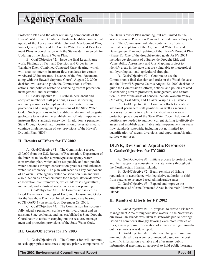Protection Plan and the other remaining components of the Hawai'i Water Plan. Continue efforts to facilitate completion/ update of the Agricultural Water Use and Development Plan, Water Quality Plan, and the County Water Use and Development Plans in coordination with the Statewide Framework for Updating of the Hawai'i Water Plan.

B. Goal/Objective #2: Issue the final Legal Framework, Findings of Fact, and Decision and Order in the Waiahole Ditch Combined Contested Case Hearing, which will establish interim instream flow standards for certain windward O'ahu streams. Issuance of the final document, along with the Hawai'i Supreme Court's August 22, 2000 decision, will serve to guide the Commission's efforts, actions, and policies related to enhancing stream protection, management, and restoration.

C. Goal/Objective #3: Establish permanent and adequate number of staff positions, as well as securing necessary resources to implement critical water resource protection and management provisions of the State Water Code. Such positions include additional stream hydrologists/ geologists to assist in the establishment of interim/permanent instream flow standards statewide. In addition, a permanent State Drought Coordinator position should be established to continue implementation of key provisions of the Hawai'i Drought Plan (HDP).

#### **II. Results of Efforts for FY 2002**

A. Goal/Objective #1: The Commission secured \$50,000 from the U.S. Bureau of Reclamation, Department of the Interior, to develop a prototype state agency water conservation plan, which addresses potable and non-potable water demands through conservation practices and enhanced water use efficiency. The plan will serve as a key component of an overall state agency water conservation plan and will also function as a "cornerstone" for a larger, statewide water conservation plan/framework, which addresses agricultural, municipal, and industrial water conservation planning.

B. Goal/Objective #2: The Commission issued its Legal Framework, Findings of Fact, and Decision and Order for the Waiahole Ditch combined contested case hearing (CCH-OA95-1) on remand, on December 28, 2001.

C. Goal/Objective #3: The Commission has successfully added a permanent surface water hydrologist and an assistant State geologist, and has established a State Drought Coordinator to assist in carrying out the resource management and protection provisions of the State Water Code.

#### **III. Goals/Objectives for FY 2003**

A. Goal/Objective #1: The Commission will continue to seek appropriate resources to update priority components of the Hawai'i Water Plan including, but not limited to, the Water Resource Protection Plan and the State Water Projects Plan. The Commission will also continue its efforts to facilitate completion of the Agricultural Water Use and Development Plan and updating of the Hawai'i Drought Plan (Phase 1). One of the drought-related goals for FY 2003 includes development of a Statewide Drought Risk and Vulnerability Assessment and GIS Mapping project to identify areas in the state that are vulnerable to meteorological, hydrological, and agricultural drought.

B. Goal/Objective #2: Continue to use the Commission's final decision and order in the Waiahole case and the Hawai'i Supreme Court's August 22, 2000 decision to guide the Commission's efforts, actions, and policies related to enhancing stream protection, management, and restoration. A few of the areas of concern include Waikolu Valley (Molokai), East Maui, and Lalakea/Waipio (Big Island).

C. Goal/Objective #3: Continue efforts to establish additional permanent staff positions, as well as securing necessary resources to implement critical water resource protection provisions of the State Water Code. Additional positions are needed to augment current staffing to effectively assess and establish quantifiable interim/permanent instream flow standards statewide, including but not limited to, quantification of stream diversions and appurtenant/riparian surface water uses.

#### **DLNR, Division of Aquatic Resources I. Goals/Objectives for FY 2002**

A. Goal/Objective #1: Initiate process to protect biota and their supporting ecosystems in state waters throughout the Northwestern Haai'ian Islands.

B. Goal/Objective #2: Begin revision of fishing regulations in accordance with legislative authority to shift from statutes to science-based administrative rules.

C. Goal/Objective #3: Expand and improve the effectiveness of Marine Protected Areas in the main Hawaiian Islands.

#### **II. Results of Efforts for FY 2002**

A. Goal/Objective #1: A proposal to create a Fisheries Management Area throughout state waters in the Northwestern Hawaiian Islands was taken to statewide public hearings. Based on comments strongly favoring even more restrictive rules, a new proposal for creation of a marine refuge throughout these waters was developed.

B. Goal/Objective #2: Extensive changes in minimum size and related rules were recommended based on the best scientific information available and after many public informational meetings, an approval to hold public hearings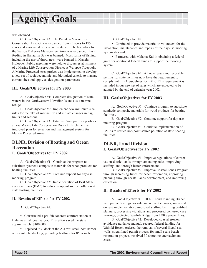was obtained.

C. Goal/Objective #3: The Pupukea Marine Life Conservation District was expanded from 25 acres to 175 acres and associated rules were tightened. The boundary for the Wailoa Fisheries Management Area was expanded. Fish feeding in Hanauma Bay was banned. Most forms of fishing, including the use of throw nets, were banned in Manele/ Hulopoe. Public meetings were held to discuss establishment of a Marine Life Conservation District at Waiopae Tidepools. A Marine Protected Area project was implemented to develop a new set of social/economic and biological criteria to manage current sites and apply as designation parameters.

#### **III. Goals/Objectives for FY 2003**

A. Goal/Objective #1: Complete designation of state waters in the Northwestern Hawaiian Islands as a marine refuge.

B. Goal/Objective #2: Implement new minimum size rules for the take of marine life and initiate changes in bag limits and seasons.

C. Goal/Objective #3: Establish Waiopae Tidepools as a new Marine Life Conservation District. Implement an improved plan for selection and management system for Marine Protected Areas.

### **DLNR, Division of Boating and Ocean Recreation**

#### **I. Goals/Objectives for FY 2002**

A. Goal/Objective #1: Continue the program to substitute synthetic composite materials for wood products for boating facilities.

B. Goal/Objective #2: Continue support for day-use mooring program.

C. Goal/Objective #3: Implementation of Best Management Plans (BMP) to reduce nonpoint source pollution at state boating facilities.

#### **II. Results of Efforts for FY 2002**

A. Goal/Objective #1:

• Constructed a pre-fab concrete comfort station at Haleiwa small boat harbor. This effort saved the state approximately \$100,000.

• Replaced "G" dock at the Ala Wai small boat harbor with synthetic decking, providing berthing for 86 vessels.

B. Goal/Objective #2:

• Continued to provide material to volunteers for the installation, maintenance and repairs of the day-use mooring system statewide.

• Partnered with Malama Kai in obtaining a federal grant for additional federal funds to support the mooring system.

C. Goal/Objective #3: All new leases and revocable permits for state facilities now have the requirement to comply with EPA guidelines for BMP. This requirement is included in our new set of rules which are expected to be adopted by the end of calendar year 2002.

#### **III. Goals/Objectives for FY 2003**

A. Goal/Objective #1: Continue program to substitute synthetic composite materials for wood products for boating facilities.

B. Goal/Objective #2: Continue support for day-use mooring program.

C. Goal/Objective #3: Continue implementation of BMP's to reduce non-point source pollution at state boating facilities.

### **DLNR, Land Division I. Goals/Objectives for FY 2002**

A. Goal/Objective #1: Improve regulations of conservation district lands through amending rules, improving staffing, and through better enforcement.

B. Goal/Objective #2: Improve Coastal Lands Program through increasing funds for beach restoration, improving planning through coastal lands development, and improving education.

#### **II. Results of Efforts for FY 2002**

A. Goal/Objective #1: DLNR Land Planning Branch held public hearings for rule amendment changes, improved on rule implementation, improved staffing by hiring certified planners, processing violations and processed contested case hearings, protected Waahila Ridge from 138kv power lines.

B. Goal/Objective #2: Developed coastal erosionavoidance guidance manual, secured federal funding for Waikiki Beach, ordered the removal of several illegal seawalls, streamlined permit process for small scale beach restoration projects, resolved 30 shoreline encroachment cases.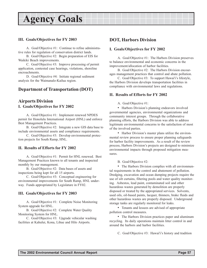#### <span id="page-55-0"></span>**III. Goals/Objectives for FY 2003**

A. Goal/Objective #1: Continue to refine administrative rules for regulation of conservation district lands.

B. Goal/Objective #2: Begin preparation of EIS for Waikiki Beach improvements.

C. Goal/Objective #3: Improve processing of permit application, contested case hearings, violations, shoreline encroachments.

D. Goal/Objective #4: Initiate regional sediment analysis for the Waimanalo-Kailua region.

#### **Department of Transportation (DOT)**

#### **Airports Division I. Goals/Objectives for FY 2002**

A. Goal/Objective #1: Implement renewed NPDES permit for Honolulu International Airport (HNL) and enforce Best Management Practices.

B. Goal/Objective #2: Integrate a new GIS data base to include environmental assets and compliance requirements.

C. Goal/Objective #3: Develop environmental protection projects for South Ramp, HNL.

#### **II. Results of Efforts for FY 2002**

A. Goal/Objective #1: Permit for HNL renewed. Best Management Practices known to all tenants and inspected monthly by our management.

B. Goal/Objective #2: Data bases of assets and inspections being kept for all 15 airports.

C. Goal/Objective #3: Conceptual engineering for environmental improvements for South Ramp, HNL underway. Funds appropriated by Legislature in FY02.

#### **III. Goals/Objectives for FY 2003**

A. Goal/Objective #1: Complete Noise Monitoring System upgrade for HNL.

B. Goal/Objective #2: Complete Water Quality Monitoring System for HNL.

C. Goal/Objective #3: Upgrade vehicular washing facilities at Kahului, Kona, Lihue and Hilo Airports.

### **DOT, Harbors Division**

#### **I. Goals/Objectives for FY 2002**

A. Goal/Objective #1: The Harbors Division preserves to balance environmental and economic concerns in the improvement/allocation of harbor facilities.

B. Goal/Objective #2: The Harbors Division encourages management practices that control and abate pollution.

C. Goal/Objective  $#3$ : To support Hawai'i's lifestyle, the Harbors Division develops transportation facilities in compliance with environmental laws and regulations.

#### **II. Results of Efforts for FY 2002**

#### A. Goal/Objective #1:

• Harbors Division's planning endeavors involved governmental agencies, environmental organizations and community interest groups. Through the collaborative planning efforts, the Harbors Division was able to address legitimate environmental concerns to the satisfaction of most of the involved parties.

• Harbor Division's master plans utilize the environmental review process to ensure proper planning safeguards for harbor facility improvements. As a result of the review process, Harbors Division's projects are designed to minimize environmental impacts through proposed mitigation measures.

B. Goal/Objective #2:

• The Harbors Division complies with all environmental requirements in the control and abatement of pollution. Dredging, excavation and ocean dumping projects require the use of silt curtains, filtering pools and water quality monitoring. Asbestos, lead paint, contaminated soil and other hazardous wastes generated by demolition are properly disposed or treated by the appropriated services. Solvents, used oils, oil-based paints, lacquer, thinners, brake fluids and other hazardous wastes are properly disposed. Underground storage tanks are regularly monitored for leaks.

• Tenants and lessees are advised of appropriate pollution control measures.

• The Harbors Division practices paper and aluminum recycling. Its daily operations maintain litter control in and around the harbors and harbor facilities.

C. Goal/Objective #3: Hawai'i's history and tradition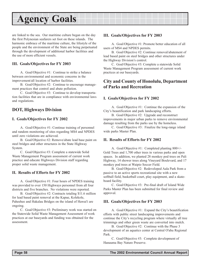<span id="page-56-0"></span>are linked to the sea. Our maritime culture began on the day the first Polynesian seafarers set foot on these islands. The harmonic embrace of the maritime culture, the lifestyle of the people and the environment of the State are being perpetuated through the development of additional harbor facilities and the use of more efficient vessels.

#### **III. Goals/Objectives for FY 2003**

A. Goal/Objective #1: Continue to strike a balance between environmental and economic concerns in the improvement/all location of harbor facilities.

B. Goal/Objective #2: Continue to encourage management practices that control and abate pollution.

C. Goal/Objective #3: Continue to develop transportation facilities that are in compliance with environmental laws and regulations.

### **DOT, Highways Division**

#### **I. Goals/Objectives for FY 2002**

A. Goal/Objective #1: Continue training of personnel and random monitoring of sites regarding MS4 and NPDES until zero violations are achieved.

B. Goal/Objective #2: Remove/abate lead base paint on steel bridges and other structures in the State Highway System.

C. Goal/Objective #3: Complete a statewide Solid Waste Management Program assessment of current work practice and educate Highways Division staff regarding proper solid waste management.

#### **II. Results of Efforts for FY 2002**

A. Goal/Objective #1: Four hours of NPDES training was provided to over 150 Highways personnel from all four districts and five branches. No violations were reported.

B. Goal/Objective #2: Contracts totaling \$11.6 million for lead based paint removal at the Kapue, Kolekole, Paheehee and Hakalau Bridges on the island of Hawai'i are ongoing.

C. Goal/Objective #3: Preliminary work was started on the Statewide Solid Waste Management Assessment of work practices at our baseyards and funding was obtained for the assessment.

#### **III. Goals/Objectives for FY 2003**

A. Goal/Objective #1: Promote better education of all users of MS4 and NPDES permits.

B. Goal/Objective #2: Continue removal/abatement of lead based paint on steel bridges and other structures under the Highway Division's control.

C. Goal/Objective #3: Complete a statewide Solid Waste Management Program assessment of current work practices at our baseyards.

### **City and County of Honolulu, Department of Parks and Recreation**

#### **I. Goals/Objectives for FY 2002**

A. Goal/Objective #1: Continue the expansion of the City's beautification and park landscaping efforts.

B. Goal/Objective #2: Upgrade and reconstruct improvements in major urban parks to remove environmental damage resulting from the parks use by the homeless.

C. Goal/Objective #3: Finalize the long-range island wide parks Master Plan.

#### **II. Results of Efforts for FY 2002**

A. Goal/Objective #1: Completed planting 800+/- Gold Trees and 1,700 other trees in various parks and open spaces. In addition, we planted 28 monkey pod trees on Pali Highway, 14 shower trees along Vineyard Boulevard, and 17 monkey pod trees at Waipio Soccer Field.

B. Goal/Objective #2: Redeveloped Aala Park from a passive to an active sports recreational site with a new softball field, basketball court, play equipment, and a skateboard facility.

C. Goal/Objective #3: Pre-final draft of Island Wide Parks Master Plan has been submitted for final review and approval.

#### **III. Goals/Objectives for FY 2003**

A. Goal/Objective #1: Expand the City's beautification efforts with public street landscaping improvements and continue the City's recycling program where virtually all tree trimmings and other green waste are converted into mulch.

B. Goal/Objective #2: Continue with the Phase 3 development of an aquatics center at Central O'ahu Regional Park.

C. Goal/Objective #3: Complete development of Hanauma Bay Nature Preserve.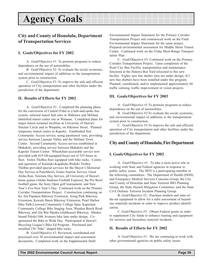### <span id="page-57-0"></span>**City and County of Honolulu, Department of Transportation Services**

#### **I. Goals/Objectives for FY 2002**

A. Goal/Objective #1: To promote programs to reduce dependence on the use of automobiles.

B. Goal/Objective #2: To evaluate the social, economic, and environmental impact of additions to the transportation system prior to construction.

C. Goal/Objective #3: To improve the safe and efficient operation of City transportation and other facilities under the jurisdiction of the department.

#### **II. Results of Efforts for FY 2002**

A. Goal/Objective #1: Completed the planning phase for the conversion of Central O'ahu to a hub-and-spoke bus system; selected transit hub sites in Wahiawa and Mililani. Identified transit center site in Waianae. Completed plans for major transit terminal facilities at University of Hawai'i Sinclair Circle and in Waipahu, on Hikimoe Street. Planned temporary transit center in Kapolei. Established first Community Access service, using paratransit vans, providing service between Launani Valley and the Mililani Town Center. Second Community Access service established in Makakilo, providing service between Makakilo and the Kapolei Transit Center. Wheelchair-accessible service now provided with 419 lift-equipped buses out of 525 buses in fleet. Entire TheBus fleet equipped with bike racks. Continued operation of Kaimuki-Kapahulu-Waikiki Trolley. TheBus provided special services for the Mayor's Memorial Day Service at Punchbowl, Easter Sunrise Service, Great Aloha Run, Veterans Day Service, all University of Hawai'i home games (Aloha Stadium Football Express), the Pro Bowl football game, the Sony Open golf tournament, and New Year's Eve-New Year's Day. Continued work on the Primary Corridor Transportation Project. Construction continuing on Ke Ala Pupukea Bikeway Extension, Asing Park Bikeway Extension, Kewalo Basin Bikeway Extension, Pearl Harbor Bike Path-Leeward Community College Spur, Kapiolani Community College Bike Staging Area, Waialua Beach Road Bikeway, and Ala Wai Mauka (clubhouse) Bikeway. Maukabound Palolo/10th Avenues bike lane under design. Cosponsored the Bike to Work Day. Participated in Hawai'i Bicycling League's Bike Ed Program. Purchased and installed 150 "bike" shaped bike racks.

B. Goal/Objective #2: Reviewed, coordinated and processed over 50 environmental impact and assessment documents. Completed work on the Supplemental Draft Environmental Impact Statement for the Primary Corridor Transportation Project and commenced work on the Final Environmental Impact Statement for the same project. Prepared environmental assessment for Middle Street Transit Center. Continued work on the O'ahu Short-Range Transportation Plan

C. Goal/Objective #3: Continued work on the Primary Corridor Transportation Project. Upon completion of the Pearl City Bus Facility, transportation and maintenance functions at the Halawa Bus Yard relocated to this new facility. Eighty new bus shelter sites are under design; 411 new bus shelters have been installed under this program. Planned, coordinated, and/or implemented approximately 60 traffic calming, traffic improvement or vision projects.

#### **III. Goals/Objectives for FY 2003**

A. Goal/Objective #1:To promote programs to reduce dependence on the use of automobiles.

B. Goal/Objective #2:To evaluate the social, economic, and environmental impact of additions to the transportation system prior to construction.

C. Goal/Objective #3:To improve the safe and efficient operation of City transportation and other facilities under the jurisdiction of the department.

#### **City and County of Honolulu, Fire Department**

#### **I. Goals/Objectives for FY 2002**

A. Goal/Objective #1: To take a more active role in working with State and Federal agencies in response to public safety issues. The HFD is a participating member in the following committees: The Department of Health (DOH) and Emergency Medical Services Concerns Group, the City and County of Honolulu and State Terrorist BIO Planning Group, the State Hazard Mitigation Committee, and the State Civil Defense Terrorist Incident Planning Group.

B. Goal/Objective #2: Purchase modern and state-ofthe-art equipment to allow for a safer assessment of hazardous materials incidents in order to improve product identification.

C. Goal/Objective #3: Obtain Federal grants in order to supplement City funds to enhance training and equipment for terrorist and hazardous material incidents.

#### **II. Results of Efforts for FY 2002**

A. Goal/Objective #1: We are continuing to work with other governmental agencies on public safety issues.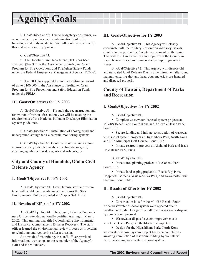<span id="page-58-0"></span>B. Goal/Objective #2: Due to budgetary constraints, we were unable to purchase a decontamination trailer for hazardous materials incidents. We will continue to strive for this state-of-the-art equipment.

C. Goal/Objective #3:

• The Honolulu Fire Department (HFD) has been awarded \$749,315 in the Assistance to Firefighter Grant Program for Fire Operations and Firefighter Safety Funds under the Federal Emergency Management Agency (FEMA).

• The HFD has applied for and is awaiting an award of up to \$100,000 in the Assistance to Firefighter Grant Program for Fire Prevention and Safety Education Funds under the FEMA.

#### **III. Goals/Objectives for FY 2003**

A. Goal/Objective #1: Through the reconstruction and renovation of various fire stations, we will be meeting the requirements of the National Pollutant Discharge Elimination System guidelines.

B. Goal/Objective #2: Installation of aboveground and underground storage tank electronic monitoring systems.

C. Goal/Objective #3: Continue to utilize and explore environmentally safe chemicals at the fire stations, i.e., cleaning agents such as detergents and solvents, etc.

### **City and County of Honolulu, O'ahu Civil Defense Agency**

#### **I. Goals/Objectives for FY 2002**

A. Goal/Objective #1: Civil Defense staff and volunteers will be able to describe in general terms the State Environmental Policy provided in Chapter 344, HRS.

#### **II. Results of Efforts for FY 2002**

A. Goal/Objective #1: The County Disaster Preparedness Officer attended nationally certified training in March, 2002. This training was titled Coordinating Environmental and Historical Compliance in Disaster Recovery. The staff officer learned the environmental review process as it pertains to rebuilding and recovering after a disaster.

As a result of his training, the staff officer provided informational workshops to the remainder of the Agency's staff and the volunteers.

#### **III. Goals/Objectives for FY 2003**

A. Goal/Objective #1: This Agency will closely coordinate with the military Restoration Advisory Boards (RAB), and represent the County government on the same. This will result in awareness and input from the County in respects to military environmental clean up progress and issues.

B. Goal/Objective #2: This Agency will dispose old and out-dated Civil Defense Kits in an environmentally sound manner, ensuring that any hazardous materials are handled and disposed properly.

### **County of Hawai'i, Department of Parks and Recreation**

#### **I. Goals/Objectives for FY 2002**

A. Goal/Objective #1:

• Complete wastewater disposal system projects at Miloliëi Beach Park, South Kona and Kolekole Beach Park, South Hilo.

• Secure funding and initiate construction of wastewater disposal system projects at Higashihara Park, North Kona and Hilo Municipal Golf Course, South Hilo.

• Initiate restroom projects at Ahalanui Park and Isaac Hale Beach Park, Puna.

B. Goal/Objective #2:

• Initiate tree planting project at Mo'oheau Park, South Hilo.

• Initiate landscaping projects at Reeds Bay Park, Happiness Gardens, Waiakea-Uka Park, and Kawamoto Swim Stadium, South Hilo.

#### **II. Results of Efforts for FY 2002**

A. Goal/Objective #1:

• Construction bids for the Miloli'i Beach, South Kona wastewater disposal system were rejected due to insufficient funds. Design of an alternate wastewater disposal system is being pursued.

• Wastewater disposal system improvements at Kolekole Beach Park, South Hilo werecompleted.

• Design for the Higashihara Park, North Kona wastewater disposal system project has been completed awaiting completion of restroom building by volunteers before installing wastewater disposal system.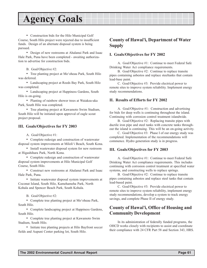<span id="page-59-0"></span>• Construction bids for the Hilo Municipal Golf Course, South Hilo project were rejected due to insufficient funds. Design of an alternate disposal system is being pursued.

• Design of new restrooms at Ahalanui Park and Isaac Hale Park, Puna have been completed - awaiting authorization to advertise for construction bids.

B. Goal/Objective #2:

• Tree planting project at Mo'oheau Park, South Hilo was deferred.

• Landscaping project at Reeds Bay Park, South Hilo was completed.

• Landscaping project at Happiness Gardens, South Hilo is on-going.

• Planting of rainbow shower trees at Waiakea-uka Park, South Hilo was completed.

• Tree planting project at Kawamoto Swim Stadium, South Hilo will be initiated upon approval of eagle scout project proposal.

#### **III. Goals/Objectives for FY 2003**

A. Goal/Objective #1:

• Complete redesign and construction of wastewater disposal system improvements at Miloliëi Beach, South Kona.

• Install wastewater disposal system for new restroom at Higashihara Park, North Kona.

• Complete redesign and construction of wastewater disposal system improvements at Hilo Municipal Golf Course, South Hilo.

• Construct new restrooms at Ahalanui Park and Isaac Hale Park, Puna.

• Initiate wastewater disposal system improvements at Coconut Island, South Hilo, Kamehameha Park, North Kohala and Spencer Beach Park, South Kohala.

B. Goal/Objective #2:

• Complete tree planting project at Mo'oheau Park, South Hilo.

• Complete landscaping project at Happiness Gardens, South Hilo.

• Complete tree planting project at Kawamoto Swim Stadium, South Hilo.

• Initiate tree planting projects at Hilo Bayfront soccer fields and Aupuni Center parking lot, South Hilo.

### **County of Hawai'i, Department of Water Supply**

#### **I. Goals/Objectives for FY 2002**

A. Goal/Objective #1: Continue to meet Federal Safe Drinking Water Act compliance requirements.

B. Goal/Objective #2: Continue to replace transite pipes containing asbestos and replace steeltanks that contain lead-base paint.

C. Goal/Objective #3: Provide electrical power to remote sites to improve system reliability. Implement energy study recommendations.

#### **II. Results of Efforts for FY 2002**

A. Goal/Objective #1: Construction and advertising for bids for deep wells is continuing throughout the island. Continuing with corrosion control treatment islandwide.

B. Goal/Objective #2: Replacing transite pipes with ductile iron pipe and steel tanks with concrete tanks throughout the island is continuing. This will be an on-going activity.

C. Goal/Objective #3: Phase I of our energy study was completed. Implementation of the recommendations will commence. Hydro generation study is in progress.

#### **III. Goals/Objectives for FY 2003**

A. Goal/Objective #1: Continue to meet Federal Safe Drinking Water Act compliance requirements. This includes continuing with corrosion control treatment at specified water systems, and constructing wells to replace springs.

B. Goal/Objective #2: Continue to replace transite pipes containing asbestos and replace steel tanks that contain lead-based paint.

C. Goal/Objective #3: Provide electrical power to remote sites to improve system reliability, implement energy study recommendations, develop a system to track energy savings, and complete Phase II of energy study.

### **County of Hawai'i, Office of Housing and Community Development**

In its administration of federally funded programs, the OHCD works closely with recipients to assist and coordinate their compliance with 24 CFR Part 58 and Section 343, HRS.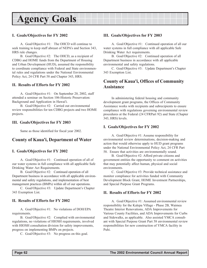#### <span id="page-60-0"></span>**I. Goals/Objectives for FY 2002**

A. Goal/Objective #1: The OHCD will continue to seek training to keep staff abreast of NEPA's and Section 343, HRS rule changes.

B. Goal/Objective #2: The OHCD, as a recipient of CDBG and HOME funds from the Department of Housing and Urban Development (HUD), assumed the responsibility to coordinate compliance with Federal and State environmental rules and regulations under the National Environmental Policy Act, 24 CFR Part 58 and Chapter 343, HRS.

#### **II. Results of Efforts for FY 2002**

A. Goal/Objective #1: On September 20, 2002, staff attended a seminar on Section 106-Historic Preservation: Background and Application in Hawai'i.

B. Goal/Objective #2: Carried out environmental review responsibilities for ten CDBG projects and two HOME projects.

#### **III. Goals/Objectives for FY 2003**

Same as those identified for fiscal year 2002.

#### **County of Kaua'i, Department of Water**

#### **I. Goals/Objectives for FY 2002**

A. Goal/Objective #1: Continued operation of all of our water systems in full compliance with all applicable Safe Drinking Water Act Requirements.

B. Goal/Objective #2: Continued operation of all Department business in accordance with all applicable environmental and safety regulations, and implementation of best management practices (BMPs) within all of our operations.

C. Goal/Objective #3: Update Department's Chapter 343 Exemption List.

#### **II. Results of Efforts for FY 2002**

A. Goal/Objective #1: No violations of DOH/EPA requirements.

B. Goal/Objective #2: Complied with environmental regulations, no violations of HIOSH requirements, involved with HIOSH consultation division for safety improvements, progress on implementing BMPs on projects.

C. Goal/Objective #3: No progress on this goal.

#### **III. Goals/Objectives for FY 2003**

A. Goal/Objective #1: Continued operation of all our water systems in full compliance with all applicable Safe Drinking Water Act requirements.

B. Goal/Objective #2: Continued operation of all Department business in accordance with all applicable environmental and safety regulations.

C. Goal/Objective #3: Update Department's Chapter 343 Exemption List.

### **County of Kaua'i, Offices of Community Assistance**

In administering federal housing and community development grant programs, the Offices of Community Assistance works with recipients and subrecipients to ensure compliance with regulations governing environmental review procedures at the Federal (24 CFRPart 92) and State (Chapter 343, HRS) levels.

#### **I. Goals/Objectives for FY 2002**

A. Goal/Objective #1: Assume responsibility for environmental review determinations, decision-making and action that would otherwise apply to HUD grant programs under the National Environmental Policy Act, 24 CFR Part 58. Ensure that activities are environmentally sound.

B. Goal/Objective #2: Afford private citizens and government entities the opportunity to comment on activities that may potentially affect human, physical and social environments.

C. Goal/Objective #3: Provide technical assistance and monitor compliance for activities funded with Community Development Block Grant, HOME Investment Partnerships, and Special Purpose Grant Programs.

#### **II. Results of Efforts for FY 2002**

A. Goal/Objective #1: Assumed environmental review responsibility for the Kalepa Village - Phase 2B, Waimea Theatre Interior Renovations, ADA Improvements for Various County Facilities, and ADA Improvements for Curbs and Sidewalks, as applicable. Also assisted YMCA consultant with Special Purpose Grant Part 58 environmental review responsibilities for new construction of YMCA facility in Puhi.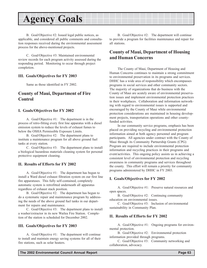<span id="page-61-0"></span>B. Goal/Objective #2: Issued legal public notices, as applicable, and considered all public comments and consultation responses received during the environmental assessment process for the above-mentioned projects.

C. Goal/Objective #3: Maintained environmental review records for each program activity assessed during the responding period. Monitoring to occur through project completion.

#### **III. Goals/Objectives for FY 2003**

Same as those identified in FY 2002.

#### **County of Maui, Department of Fire Control**

#### **I. Goals/Objectives for FY 2002**

A. Goal/Objective #1: The department is in the process of retro-fitting every first line apparatus with a diesel emission system to reduce the levels of exhaust fumes to below the OSHA Permissible Exposure Limits.

B. Goal/Objective #2: The department plans to institute a maintenance program for all above ground fuel tanks at every station.

C. Goal/Objective #3: The department plans to install a biological hazardous materials cleaning system for personal protective equipment cleaning.

#### **II. Results of Efforts for FY 2002**

A. Goal/Objective #1: The department has begun to install a Ward diesel exhaust filtration system on our first line fire apparatuses. This fully self-contained, completely automatic system is retrofitted underneath all apparatus regardless of exhaust stack position.

B. Goal/Objective #2: The department has begun to do a systematic repair and maintenance program by addressing the needs of the above ground fuel tanks in our department for repairs and maintenance.

C. Goal/Objective #3: The department plans to install a washer/extractor in its new Wailea Fire Station. Completion of the station is scheduled for December 2002.

#### **III. Goals/Objectives for FY 2003**

A. Goal/Objective #1: The department will continue to install and maintain energy saving systems for all of their fire stations, such as solar heaters.

B. Goal/Objective #2: The department will continue to provide a program for facilities maintenance and repair for all stations.

### **County of Maui, Department of Housing and Human Concerns**

The County of Maui, Department of Housing and Human Concerns continues to maintain a strong commitment to environmental preservation in its programs and services. DHHC has a wide area of responsibility which encompasses programs in social services and other community sectors. The majority of organizations that do business with the County of Maui are acutely aware of environmental preservation issues and implement environmental protection practices in their workplaces. Collaboration and information networking with regard to environmental issues is supported and encouraged by the County of Maui while environmental protection considerations are maintained in housing development projects, transportation operations and other countyfunded activities.

In our community service programs, emphasis has been placed on providing recycling and environmental protection information aimed at both agency personnel and program participants. All agencies under contract with the County of Maui through its Community Partnership Grants (CPG) Program are required to include environmental protection information and recycling practices in their programs and event/activities. This ongoing policy assists us in achieving a consistent level of environmental protection and recycling awareness in community programs and services throughout the county. This effort will remain a priority for community programs administered by DHHC in FY 2003.

#### **I. Goals/Objectives for FY 2002**

A. Goal/Objective #1: Preserve natural resources and open spaces.

B. Goal/Objective #2: Continuing community education on environmental issues.

C. Goal/Objective #3: Inclusion of environmental sustainability in Community Plan.

#### **II. Results of Efforts for FY 2002**

A. Goal/Objective #1: Ongoing programs for environmental protection.

B. Goal/Objective #2: Environmental protection information provided through programs.

C. Goal/Objective #3: Community networking and collaboration, advocacy.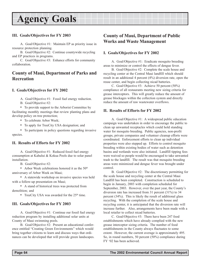#### <span id="page-62-0"></span>**III. Goals/Objectives for FY 2003**

A. Goal/Objective #1: Maintain EP as priority issue in resource protection planning.

B. Goal/Objective #2: Continue countywide recycling and EP practices in programs.

C. Goal/Objective #3: Enhance efforts for community collaboration.

### **County of Maui, Department of Parks and Recreation**

#### **I. Goals/Objectives for FY 2002**

A. Goal/Objective #1: Fossil fuel energy reduction.

B. Goal/Objective #2:

• To provide support to the Arborist Committee by facilitating monthly meetings that review planting plans and develop policy on tree protection;

- To celebrate Arbor Week;
- To apply for TreeCity USA designation; and

• To participate in policy questions regarding invasive species.

#### **II. Results of Efforts for FY 2002**

A. Goal/Objective #1: Reduced fossil fuel energy consumption at Kahului & Kokua Pools due to solar panel installation.

B. Goal/Objective #2:

• Arbor Week celebrations honored it as the  $50<sup>th</sup>$ anniversary of Arbor Week on Maui;

• A statewide workshop on invasive species was held with a follow-up presentation on Maui;

• A stand of historical trees was protected from demolition; and

• TreeCity USA was awarded for the  $25<sup>th</sup>$  time.

#### **III. Goals/Objectives for FY 2003**

A. Goal/Objective #1: Continue our fossil fuel energy reduction program by installing additional solar units at County of Maui swimming pools.

B. Goal/Objective #2: Present an educational conference entitled "Creating Green Environments" which would bring together citizens to learn and discuss ways that ordinances can be developed that will provide green landscapes.

### **County of Maui, Department of Public Works and Waste Management**

#### **I. Goals/Objectives for FY 2002**

A. Goal/Objective #1: Eradicate mosquito breeding areas to minimize or control the effects of dengue fever.

B. Goal/Objective #2: Complete the scale house and recycling center at the Central Maui landfill which should result in an additional 4 percent (4%) diversion rate, open the reuse center, and begin collecting nicad batteries.

C. Goal/Objective #3: Achieve 50 percent (50%) compliance of all restaurants meeting new sizing criteria for grease interceptors. This will greatly reduce the amount of grease blockages within the collection system and directly reduce the amount of raw wastewater overflows.

#### **II. Results of Efforts for FY 2002**

A. Goal/Objective #1: A widespread public education campaign was undertaken in order to encourage the public to clean up unwanted receptacles which could hold standing water for mosquito breeding. Public agencies, non-profit groups, private companies and volunteer cleanup efforts were coordinated. Enforcement efforts to clean up individual properties were also stepped up. Efforts to control mosquito breeding within existing bodies of water such as detention basins and wetlands were also initiated. Landfill tipping fees were waived so people would be encouraged to take unwanted trash to the landfill. The result was that mosquito breeding areas were minimized and dengue fever was brought under control.

B. Goal/Objective #2: The discretionary permitting for the scale house and recycling center at the Central Maui Landfill has been completed. Construction is scheduled to begin in January, 2003 with completion scheduled for September, 2003. However, over the past year, the County's diversion rate has increased from 31 percent (31%) to 34 percent (34%). This is likely the result of additional glass recycling. With the completion of the scale house and recycling center, it is anticipated that the diversion rate will increase further. Also, arrangements have been made with a local retailer to collect nicad batteries.

C. Goal/Objective #3: There have been 247 food establishments which have already complied with the new grease interceptor sizing criteria. The number of food establishments in the County always fluctuates to some extent. However, the current average is approximately 495. So, in round numbers, 50 percent (50%) compliance during FY ë02 has been achieved.